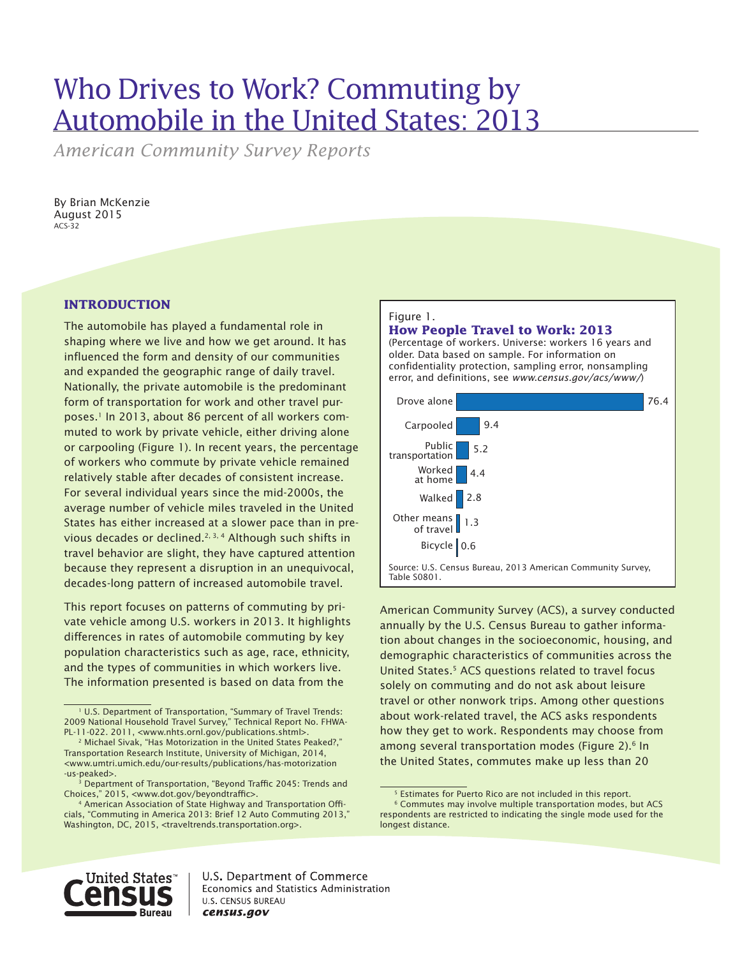# Who Drives to Work? Commuting by Automobile in the United States: 2013

*American Community Survey Reports*

By Brian McKenzie August 2015 ACS-32

### **INTRODUCTION**

The automobile has played a fundamental role in shaping where we live and how we get around. It has influenced the form and density of our communities and expanded the geographic range of daily travel. Nationally, the private automobile is the predominant form of transportation for work and other travel purposes.1 In 2013, about 86 percent of all workers commuted to work by private vehicle, either driving alone or carpooling (Figure 1). In recent years, the percentage of workers who commute by private vehicle remained relatively stable after decades of consistent increase. For several individual years since the mid-2000s, the average number of vehicle miles traveled in the United States has either increased at a slower pace than in previous decades or declined.<sup>2, 3, 4</sup> Although such shifts in travel behavior are slight, they have captured attention because they represent a disruption in an unequivocal, decades-long pattern of increased automobile travel.

This report focuses on patterns of commuting by private vehicle among U.S. workers in 2013. It highlights differences in rates of automobile commuting by key population characteristics such as age, race, ethnicity, and the types of communities in which workers live. The information presented is based on data from the

#### Figure 1.

### **How People Travel to Work: 2013**

(Percentage of workers. Universe: workers 16 years and older. Data based on sample. For information on confidentiality protection, sampling error, nonsampling error, and definitions, see *www.census.gov/acs/www/*)



American Community Survey (ACS), a survey conducted annually by the U.S. Census Bureau to gather information about changes in the socioeconomic, housing, and demographic characteristics of communities across the United States.<sup>5</sup> ACS questions related to travel focus solely on commuting and do not ask about leisure travel or other nonwork trips. Among other questions about work-related travel, the ACS asks respondents how they get to work. Respondents may choose from among several transportation modes (Figure 2).<sup>6</sup> In the United States, commutes make up less than 20



<sup>&</sup>lt;sup>1</sup> U.S. Department of Transportation, "Summary of Travel Trends: 2009 National Household Travel Survey," Technical Report No. FHWA-PL-11-022. 2011, <www.nhts.ornl.gov/publications.shtml>.

<sup>2</sup> Michael Sivak, "Has Motorization in the United States Peaked?," Transportation Research Institute, University of Michigan, 2014, <www.umtri.umich.edu/our-results/publications/has-motorization -us-peaked>.

<sup>&</sup>lt;sup>3</sup> Department of Transportation, "Beyond Traffic 2045: Trends and Choices," 2015, <www.dot.gov/beyondtraffic>. 4 American Association of State Highway and Transportation Offi-

cials, "Commuting in America 2013: Brief 12 Auto Commuting 2013," Washington, DC, 2015, <traveltrends.transportation.org>.

<sup>5</sup> Estimates for Puerto Rico are not included in this report. 6 Commutes may involve multiple transportation modes, but ACS respondents are restricted to indicating the single mode used for the longest distance.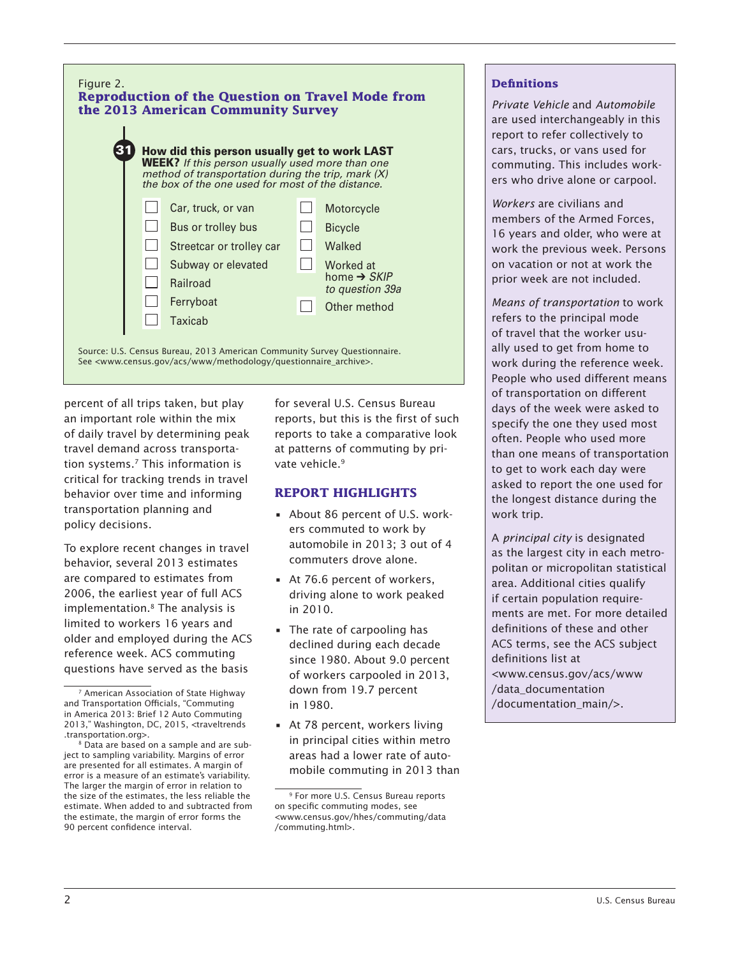

percent of all trips taken, but play an important role within the mix of daily travel by determining peak travel demand across transportation systems.7 This information is critical for tracking trends in travel behavior over time and informing transportation planning and policy decisions.

To explore recent changes in travel behavior, several 2013 estimates are compared to estimates from 2006, the earliest year of full ACS implementation.8 The analysis is limited to workers 16 years and older and employed during the ACS reference week. ACS commuting questions have served as the basis

for several U.S. Census Bureau reports, but this is the first of such reports to take a comparative look at patterns of commuting by private vehicle.<sup>9</sup>

### **REPORT HIGHLIGHTS**

- About 86 percent of U.S. workers commuted to work by automobile in 2013; 3 out of 4 commuters drove alone.
- At 76.6 percent of workers, driving alone to work peaked in 2010.
- The rate of carpooling has declined during each decade since 1980. About 9.0 percent of workers carpooled in 2013, down from 19.7 percent in 1980.
- At 78 percent, workers living in principal cities within metro areas had a lower rate of automobile commuting in 2013 than

# **Definitions**

*Private Vehicle* and Automobile are used interchangeably in this report to refer collectively to No ➔ *SKIP to question 36*  cars, trucks, or vans used for  $\begin{array}{|c|c|c|}\n\hline\n\text{commuting. This includes work-}\n\end{array}$  $\vert \vert$  ers who drive alone or carpool. *Private Vehicle* and *Automobile* 

> *Workers* are civilians and members of the Armed Forces, 16 years and older, who were at work the previous week. Persons on vacation or not at work the prior week are not included.

*Means of transportation* to work refers to the principal mode of travel that the worker usually used to get from home to work during the reference week. People who used different means of transportation on different days of the week were asked to specify the one they used most often. People who used more than one means of transportation to get to work each day were asked to report the one used for the longest distance during the work trip.

A *principal city* is designated as the largest city in each metropolitan or micropolitan statistical area. Additional cities qualify if certain population requirements are met. For more detailed definitions of these and other ACS terms, see the ACS subject definitions list at <www.census.gov/acs/www /data\_documentation /documentation\_main/>.

<sup>7</sup> American Association of State Highway and Transportation Officials, "Commuting in America 2013: Brief 12 Auto Commuting 2013," Washington, DC, 2015, <traveltrends .transportation.org>.

<sup>&</sup>lt;sup>8</sup> Data are based on a sample and are subject to sampling variability. Margins of error are presented for all estimates. A margin of error is a measure of an estimate's variability. The larger the margin of error in relation to the size of the estimates, the less reliable the estimate. When added to and subtracted from the estimate, the margin of error forms the 90 percent confidence interval.

<sup>9</sup> For more U.S. Census Bureau reports on specific commuting modes, see <www.census.gov/hhes/commuting/data /commuting.html>.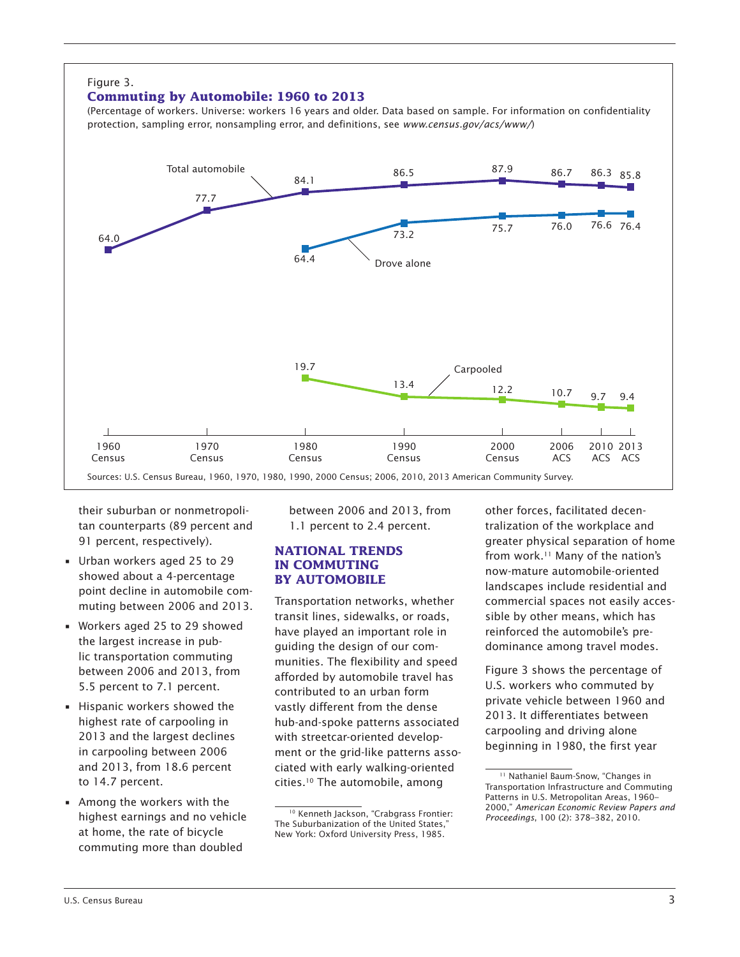#### Figure 3. **Commuting by Automobile: 1960 to 2013** (Percentage of workers. Universe: workers 16 years and older. Data based on sample. For information on confidentiality protection, sampling error, nonsampling error, and definitions, see *www.census.gov/acs/www/*) Sources: U.S. Census Bureau, 1960, 1970, 1980, 1990, 2000 Census; 2006, 2010, 2013 American Community Survey. Carpooled Drove alone Total automobile 2013 2010 ACS ACS 2006 ACS 2000 Census 1990 Census 1980 Census 1970 Census 1960 Census 64.0 86.5  $87.9$  86.7 84.1 77.7 86.3 85.8 73.2 64.4  $\frac{13.4}{9.7}$  12.2 10.7 9.7 9.4 19.7 75.7 76.0 76.4 76.6

their suburban or nonmetropolitan counterparts (89 percent and 91 percent, respectively).

- Urban workers aged 25 to 29 showed about a 4-percentage point decline in automobile commuting between 2006 and 2013.
- Workers aged 25 to 29 showed the largest increase in public transportation commuting between 2006 and 2013, from 5.5 percent to 7.1 percent.
- Hispanic workers showed the highest rate of carpooling in 2013 and the largest declines in carpooling between 2006 and 2013, from 18.6 percent to 14.7 percent.
- Among the workers with the highest earnings and no vehicle at home, the rate of bicycle commuting more than doubled

between 2006 and 2013, from 1.1 percent to 2.4 percent.

#### **NATIONAL TRENDS IN COMMUTING BY AUTOMOBILE**

Transportation networks, whether transit lines, sidewalks, or roads, have played an important role in guiding the design of our communities. The flexibility and speed afforded by automobile travel has contributed to an urban form vastly different from the dense hub-and-spoke patterns associated with streetcar-oriented development or the grid-like patterns associated with early walking-oriented cities.10 The automobile, among

other forces, facilitated decentralization of the workplace and greater physical separation of home from work.11 Many of the nation's now-mature automobile-oriented landscapes include residential and commercial spaces not easily accessible by other means, which has reinforced the automobile's predominance among travel modes.

Figure 3 shows the percentage of U.S. workers who commuted by private vehicle between 1960 and 2013. It differentiates between carpooling and driving alone beginning in 1980, the first year

<sup>&</sup>lt;sup>10</sup> Kenneth Jackson, "Crabgrass Frontier: The Suburbanization of the United States," New York: Oxford University Press, 1985.

<sup>&</sup>lt;sup>11</sup> Nathaniel Baum-Snow, "Changes in Transportation Infrastructure and Commuting Patterns in U.S. Metropolitan Areas, 1960– 2000," *American Economic Review Papers and Proceedings*, 100 (2): 378–382, 2010.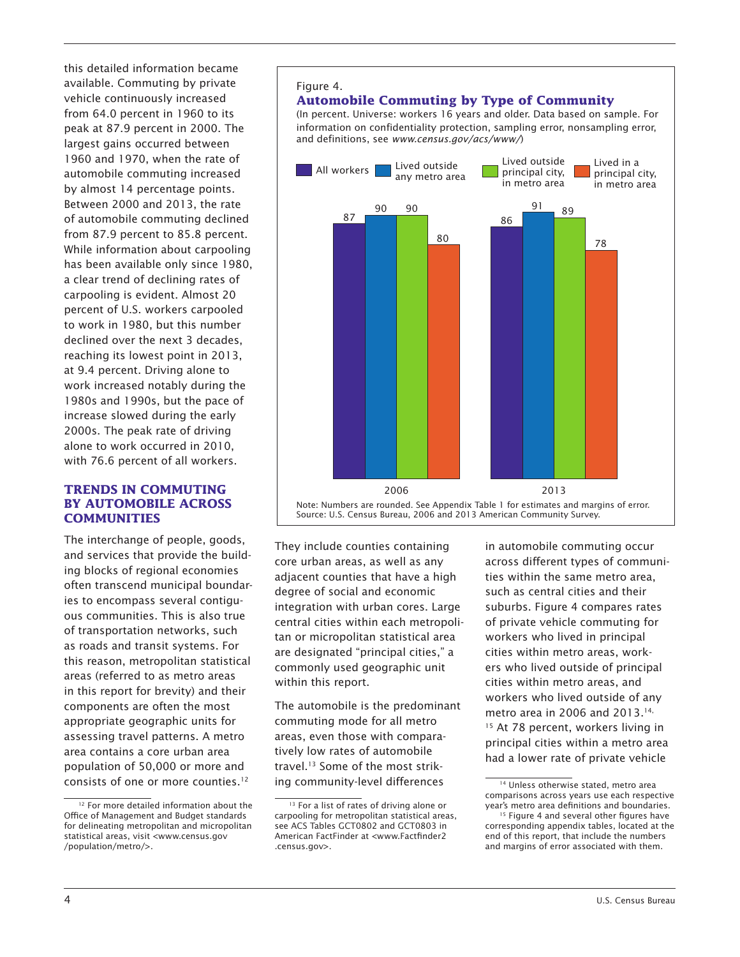this detailed information became available. Commuting by private vehicle continuously increased from 64.0 percent in 1960 to its peak at 87.9 percent in 2000. The largest gains occurred between 1960 and 1970, when the rate of automobile commuting increased by almost 14 percentage points. Between 2000 and 2013, the rate of automobile commuting declined from 87.9 percent to 85.8 percent. While information about carpooling has been available only since 1980, a clear trend of declining rates of carpooling is evident. Almost 20 percent of U.S. workers carpooled to work in 1980, but this number declined over the next 3 decades, reaching its lowest point in 2013, at 9.4 percent. Driving alone to work increased notably during the 1980s and 1990s, but the pace of increase slowed during the early 2000s. The peak rate of driving alone to work occurred in 2010, with 76.6 percent of all workers.

#### **TRENDS IN COMMUTING BY AUTOMOBILE ACROSS COMMUNITIES**

The interchange of people, goods, and services that provide the building blocks of regional economies often transcend municipal boundaries to encompass several contiguous communities. This is also true of transportation networks, such as roads and transit systems. For this reason, metropolitan statistical areas (referred to as metro areas in this report for brevity) and their components are often the most appropriate geographic units for assessing travel patterns. A metro area contains a core urban area population of 50,000 or more and consists of one or more counties.<sup>12</sup>

#### Figure 4.

# **Automobile Commuting by Type of Community**

(In percent. Universe: workers 16 years and older. Data based on sample. For information on confidentiality protection, sampling error, nonsampling error, and definitions, see *www.census.gov/acs/www/*)



They include counties containing core urban areas, as well as any adjacent counties that have a high degree of social and economic integration with urban cores. Large central cities within each metropolitan or micropolitan statistical area are designated "principal cities," a commonly used geographic unit within this report.

The automobile is the predominant commuting mode for all metro areas, even those with comparatively low rates of automobile travel.13 Some of the most striking community-level differences

in automobile commuting occur across different types of communities within the same metro area, such as central cities and their suburbs. Figure 4 compares rates of private vehicle commuting for workers who lived in principal cities within metro areas, workers who lived outside of principal cities within metro areas, and workers who lived outside of any metro area in 2006 and 2013.<sup>14,</sup> <sup>15</sup> At 78 percent, workers living in principal cities within a metro area had a lower rate of private vehicle

<sup>&</sup>lt;sup>12</sup> For more detailed information about the Office of Management and Budget standards for delineating metropolitan and micropolitan statistical areas, visit <www.census.gov /population/metro/>.

 $\frac{13}{13}$  For a list of rates of driving alone or carpooling for metropolitan statistical areas, see ACS Tables GCT0802 and GCT0803 in American FactFinder at <www.Factfinder2 .census.gov>.

<sup>&</sup>lt;sup>14</sup> Unless otherwise stated, metro area comparisons across years use each respective year's metro area definitions and boundaries. 15 Figure 4 and several other figures have

corresponding appendix tables, located at the end of this report, that include the numbers and margins of error associated with them.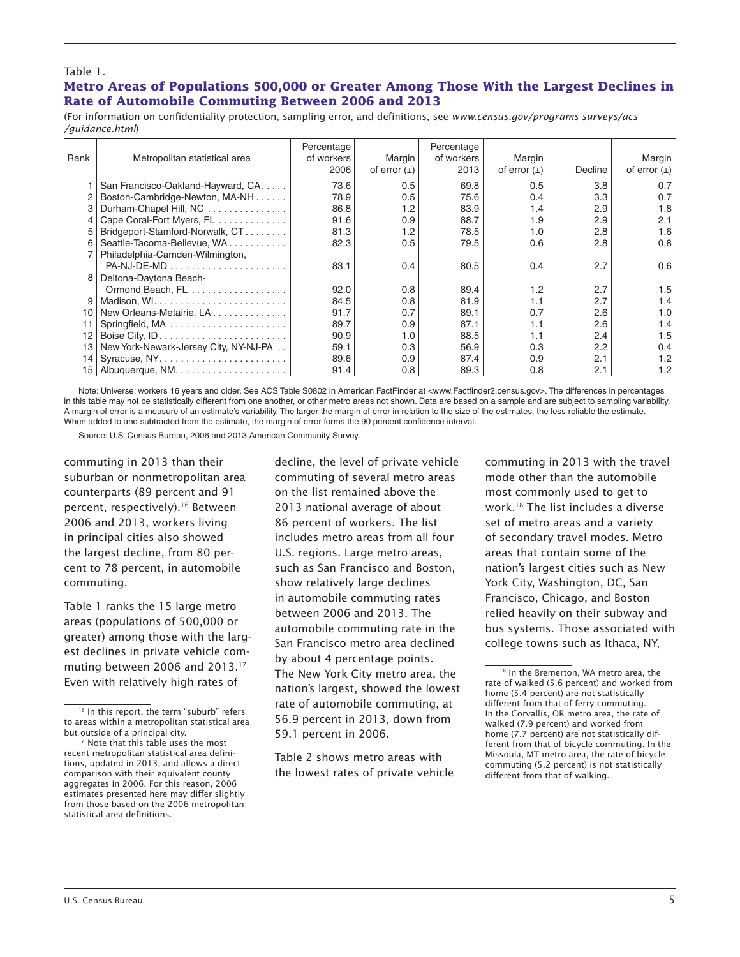#### Table 1.

### **Metro Areas of Populations 500,000 or Greater Among Those With the Largest Declines in Rate of Automobile Commuting Between 2006 and 2013**

(For information on confidentiality protection, sampling error, and definitions, see *www.census.gov/programs-surveys/acs /guidance.html*)

| Rank            | Metropolitan statistical area         | Percentage<br>of workers<br>2006 | Margin<br>of error $(\pm)$ | Percentage<br>of workers<br>2013 | Margin<br>of error $(\pm)$ | Decline | Margin<br>of error $(\pm)$ |
|-----------------|---------------------------------------|----------------------------------|----------------------------|----------------------------------|----------------------------|---------|----------------------------|
|                 | San Francisco-Oakland-Hayward, CA.    | 73.6                             | 0.5                        | 69.8                             | 0.5                        | 3.8     | 0.7                        |
|                 | Boston-Cambridge-Newton, MA-NH        | 78.9                             | 0.5                        | 75.6                             | 0.4                        | 3.3     | 0.7                        |
| 3               | Durham-Chapel Hill, NC                | 86.8                             | 1.2                        | 83.9                             | 1.4                        | 2.9     | 1.8                        |
|                 | Cape Coral-Fort Myers, FL             | 91.6                             | 0.9                        | 88.7                             | 1.9                        | 2.9     | 2.1                        |
| 5               | Bridgeport-Stamford-Norwalk, CT       | 81.3                             | 1.2                        | 78.5                             | 1.0                        | 2.8     | 1.6                        |
| 6               | Seattle-Tacoma-Bellevue, WA           | 82.3                             | 0.5                        | 79.5                             | 0.6                        | 2.8     | 0.8                        |
|                 | Philadelphia-Camden-Wilmington,       |                                  |                            |                                  |                            |         |                            |
|                 | $PA-NJ-DE-MD$                         | 83.1                             | 0.4                        | 80.5                             | 0.4                        | 2.7     | 0.6                        |
| 8               | Deltona-Daytona Beach-                |                                  |                            |                                  |                            |         |                            |
|                 | Ormond Beach, FL                      | 92.0                             | 0.8                        | 89.4                             | 1.2                        | 2.7     | 1.5                        |
| 9               |                                       | 84.5                             | 0.8                        | 81.9                             | 1.1                        | 2.7     | 1.4                        |
| 10              | New Orleans-Metairie, LA              | 91.7                             | 0.7                        | 89.1                             | 0.7                        | 2.6     | 1.0                        |
| 11              |                                       | 89.7                             | 0.9                        | 87.1                             | 1.1                        | 2.6     | 1.4                        |
| 12              |                                       | 90.9                             | 1.0                        | 88.5                             | 1.1                        | 2.4     | 1.5                        |
| 13              | New York-Newark-Jersey City, NY-NJ-PA | 59.1                             | 0.3                        | 56.9                             | 0.3                        | 2.2     | 0.4                        |
| 14              |                                       | 89.6                             | 0.9                        | 87.4                             | 0.9                        | 2.1     | 1.2                        |
| 15 <sub>1</sub> |                                       | 91.4                             | 0.8                        | 89.3                             | 0.8                        | 2.1     | 1.2                        |

Note: Universe: workers 16 years and older. See ACS Table S0802 in American FactFinder at <www.Factfinder2.census.gov>. The differences in percentages in this table may not be statistically different from one another, or other metro areas not shown. Data are based on a sample and are subject to sampling variability. A margin of error is a measure of an estimate's variability. The larger the margin of error in relation to the size of the estimates, the less reliable the estimate. When added to and subtracted from the estimate, the margin of error forms the 90 percent confidence interval.

Source: U.S. Census Bureau, 2006 and 2013 American Community Survey.

commuting in 2013 than their suburban or nonmetropolitan area counterparts (89 percent and 91 percent, respectively).16 Between 2006 and 2013, workers living in principal cities also showed the largest decline, from 80 percent to 78 percent, in automobile commuting.

Table 1 ranks the 15 large metro areas (populations of 500,000 or greater) among those with the largest declines in private vehicle commuting between 2006 and 2013.<sup>17</sup> Even with relatively high rates of

decline, the level of private vehicle commuting of several metro areas on the list remained above the 2013 national average of about 86 percent of workers. The list includes metro areas from all four U.S. regions. Large metro areas, such as San Francisco and Boston, show relatively large declines in automobile commuting rates between 2006 and 2013. The automobile commuting rate in the San Francisco metro area declined by about 4 percentage points. The New York City metro area, the nation's largest, showed the lowest rate of automobile commuting, at 56.9 percent in 2013, down from 59.1 percent in 2006.

Table 2 shows metro areas with the lowest rates of private vehicle

commuting in 2013 with the travel mode other than the automobile most commonly used to get to work.18 The list includes a diverse set of metro areas and a variety of secondary travel modes. Metro areas that contain some of the nation's largest cities such as New York City, Washington, DC, San Francisco, Chicago, and Boston relied heavily on their subway and bus systems. Those associated with college towns such as Ithaca, NY,

<sup>&</sup>lt;sup>16</sup> In this report, the term "suburb" refers to areas within a metropolitan statistical area but outside of a principal city.<br><sup>17</sup> Note that this table uses the most

recent metropolitan statistical area definitions, updated in 2013, and allows a direct comparison with their equivalent county aggregates in 2006. For this reason, 2006 estimates presented here may differ slightly from those based on the 2006 metropolitan statistical area definitions.

<sup>&</sup>lt;sup>18</sup> In the Bremerton, WA metro area, the rate of walked (5.6 percent) and worked from home (5.4 percent) are not statistically different from that of ferry commuting. In the Corvallis, OR metro area, the rate of walked (7.9 percent) and worked from home (7.7 percent) are not statistically different from that of bicycle commuting. In the Missoula, MT metro area, the rate of bicycle commuting (5.2 percent) is not statistically different from that of walking.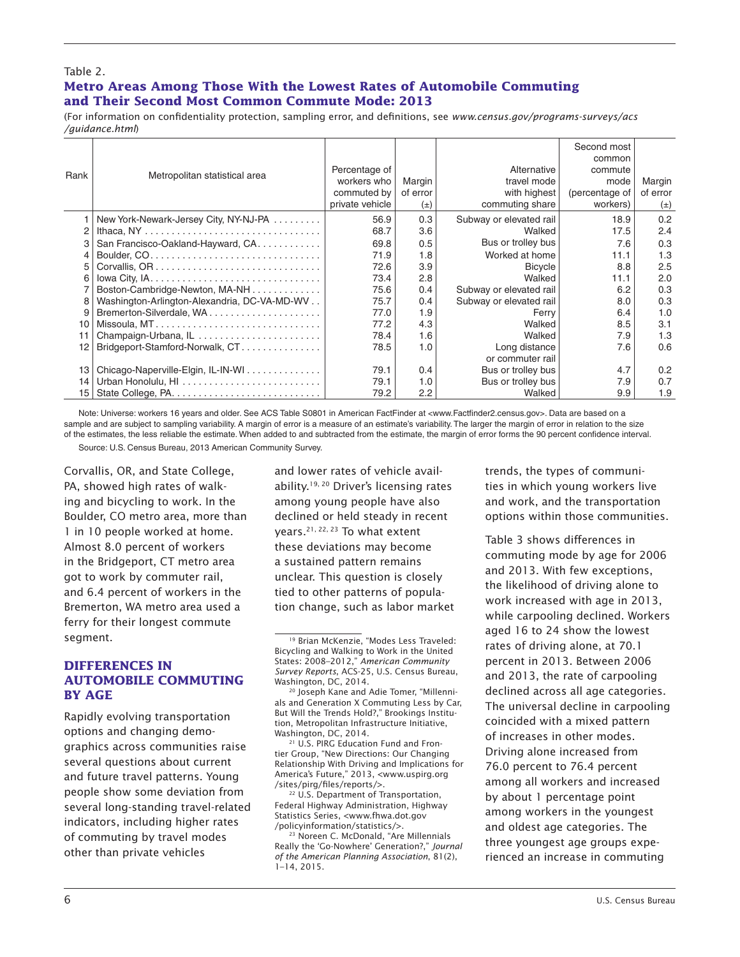#### Table 2.

#### **Metro Areas Among Those With the Lowest Rates of Automobile Commuting and Their Second Most Common Commute Mode: 2013**

(For information on confidentiality protection, sampling error, and definitions, see *www.census.gov/programs-surveys/acs /guidance.html*)

|      |                                              |                 |          |                         | Second most    |          |
|------|----------------------------------------------|-----------------|----------|-------------------------|----------------|----------|
|      |                                              |                 |          |                         | common         |          |
| Rank | Metropolitan statistical area                | Percentage of   |          | Alternative             | commute        |          |
|      |                                              | workers who     | Margin   | travel mode             | mode           | Margin   |
|      |                                              | commuted by     | of error | with highest            | (percentage of | of error |
|      |                                              | private vehicle | $(\pm)$  | commuting share         | workers)       | $(\pm)$  |
|      | New York-Newark-Jersey City, NY-NJ-PA        | 56.9            | 0.3      | Subway or elevated rail | 18.9           | 0.2      |
|      |                                              | 68.7            | 3.6      | Walked                  | 17.5           | 2.4      |
|      | San Francisco-Oakland-Hayward, CA.           | 69.8            | 0.5      | Bus or trolley bus      | 7.6            | 0.3      |
|      |                                              | 71.9            | 1.8      | Worked at home          | 11.1           | 1.3      |
| 5    |                                              | 72.6            | 3.9      | <b>Bicycle</b>          | 8.8            | 2.5      |
|      |                                              | 73.4            | 2.8      | Walked                  | 11.1           | 2.0      |
|      | Boston-Cambridge-Newton, MA-NH               | 75.6            | 0.4      | Subway or elevated rail | 6.2            | 0.3      |
| 8    | Washington-Arlington-Alexandria, DC-VA-MD-WV | 75.7            | 0.4      | Subway or elevated rail | 8.0            | 0.3      |
| 9    |                                              | 77.0            | 1.9      | Ferry                   | 6.4            | 1.0      |
| 10   |                                              | 77.2            | 4.3      | Walked                  | 8.5            | 3.1      |
| 11   | Champaign-Urbana, IL                         | 78.4            | 1.6      | Walked                  | 7.9            | 1.3      |
| 12   | Bridgeport-Stamford-Norwalk, CT              | 78.5            | 1.0      | Long distance           | 7.6            | 0.6      |
|      |                                              |                 |          | or commuter rail        |                |          |
| 13   | Chicago-Naperville-Elgin, IL-IN-WI           | 79.1            | 0.4      | Bus or trolley bus      | 4.7            | 0.2      |
| 14   |                                              | 79.1            | 1.0      | Bus or trolley bus      | 7.9            | 0.7      |
| 15   |                                              | 79.2            | 2.2      | Walked                  | 9.9            | 1.9      |

Note: Universe: workers 16 years and older. See ACS Table S0801 in American FactFinder at <www.Factfinder2.census.gov>. Data are based on a sample and are subject to sampling variability. A margin of error is a measure of an estimate's variability. The larger the margin of error in relation to the size of the estimates, the less reliable the estimate. When added to and subtracted from the estimate, the margin of error forms the 90 percent confidence interval.

Source: U.S. Census Bureau, 2013 American Community Survey.

Corvallis, OR, and State College, PA, showed high rates of walking and bicycling to work. In the Boulder, CO metro area, more than 1 in 10 people worked at home. Almost 8.0 percent of workers in the Bridgeport, CT metro area got to work by commuter rail, and 6.4 percent of workers in the Bremerton, WA metro area used a ferry for their longest commute segment.

### **DIFFERENCES IN AUTOMOBILE COMMUTING BY AGE**

Rapidly evolving transportation options and changing demographics across communities raise several questions about current and future travel patterns. Young people show some deviation from several long-standing travel-related indicators, including higher rates of commuting by travel modes other than private vehicles

and lower rates of vehicle availability.19, 20 Driver's licensing rates among young people have also declined or held steady in recent years.21, 22, 23 To what extent these deviations may become a sustained pattern remains unclear. This question is closely tied to other patterns of population change, such as labor market

21 U.S. PIRG Education Fund and Frontier Group, "New Directions: Our Changing Relationship With Driving and Implications for America's Future," 2013, <www.uspirg.org /sites/pirg/files/reports/>.

<sup>22</sup> U.S. Department of Transportation, Federal Highway Administration, Highway Statistics Series, <www.fhwa.dot.gov /policyinformation/statistics/>.

23 Noreen C. McDonald, "Are Millennials Really the 'Go-Nowhere' Generation?," *Journal of the American Planning Association*, 81(2), 1–14, 2015.

trends, the types of communities in which young workers live and work, and the transportation options within those communities.

Table 3 shows differences in commuting mode by age for 2006 and 2013. With few exceptions, the likelihood of driving alone to work increased with age in 2013, while carpooling declined. Workers aged 16 to 24 show the lowest rates of driving alone, at 70.1 percent in 2013. Between 2006 and 2013, the rate of carpooling declined across all age categories. The universal decline in carpooling coincided with a mixed pattern of increases in other modes. Driving alone increased from 76.0 percent to 76.4 percent among all workers and increased by about 1 percentage point among workers in the youngest and oldest age categories. The three youngest age groups experienced an increase in commuting

<sup>19</sup> Brian McKenzie, "Modes Less Traveled: Bicycling and Walking to Work in the United States: 2008–2012," *American Community Survey Reports*, ACS-25, U.S. Census Bureau, Washington, DC, 2014.

<sup>&</sup>lt;sup>20</sup> Joseph Kane and Adie Tomer, "Millennials and Generation X Commuting Less by Car, But Will the Trends Hold?," Brookings Institution, Metropolitan Infrastructure Initiative, Washington, DC, 2014.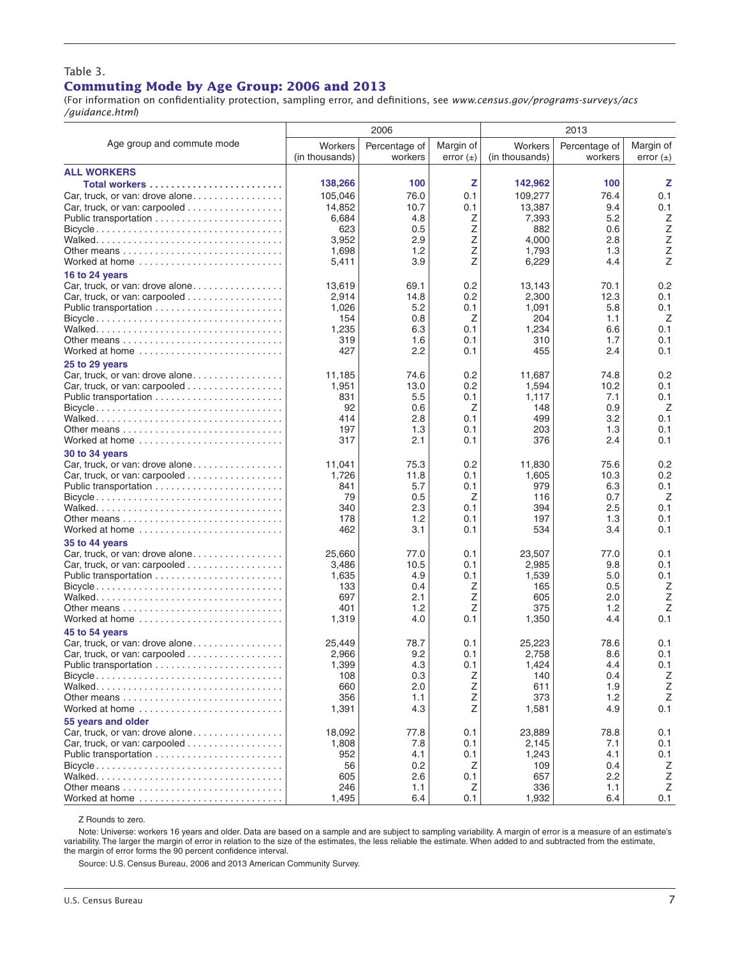#### Table 3. **Commuting Mode by Age Group: 2006 and 2013**

(For information on confidentiality protection, sampling error, and definitions, see *www.census.gov/programs-surveys/acs /guidance.html*)

|                                                                                 |                           | 2006                     |                            |                           | 2013                     |                            |
|---------------------------------------------------------------------------------|---------------------------|--------------------------|----------------------------|---------------------------|--------------------------|----------------------------|
| Age group and commute mode                                                      | Workers<br>(in thousands) | Percentage of<br>workers | Margin of<br>error $(\pm)$ | Workers<br>(in thousands) | Percentage of<br>workers | Margin of<br>error $(\pm)$ |
| <b>ALL WORKERS</b>                                                              |                           |                          |                            |                           |                          |                            |
| Total workers                                                                   | 138,266                   | 100                      | z                          | 142,962                   | 100                      | z                          |
| Car, truck, or van: drove alone                                                 | 105,046                   | 76.0                     | 0.1                        | 109.277                   | 76.4                     | 0.1                        |
| Car, truck, or van: carpooled $\ldots \ldots \ldots \ldots \ldots$              | 14,852                    | 10.7                     | 0.1                        | 13,387                    | 9.4                      | 0.1                        |
|                                                                                 | 6,684                     | 4.8                      | Ζ                          | 7,393                     | 5.2                      | Ζ                          |
|                                                                                 | 623                       | 0.5                      | Ζ                          | 882                       | 0.6                      | Ζ                          |
|                                                                                 | 3,952                     | 2.9                      | Ζ                          | 4,000                     | 2.8                      | $\mathsf Z$                |
|                                                                                 | 1,698                     | 1.2                      | Z                          | 1,793                     | 1.3                      | Z                          |
| Worked at home                                                                  | 5,411                     | 3.9                      | Z                          | 6,229                     | 4.4                      | Z                          |
| 16 to 24 years                                                                  |                           |                          |                            |                           |                          |                            |
| Car, truck, or van: drove alone.                                                | 13.619                    | 69.1                     | 0.2                        | 13,143                    | 70.1                     | 0.2                        |
| Car, truck, or van: carpooled $\ldots \ldots \ldots \ldots \ldots$              | 2,914                     | 14.8                     | 0.2                        | 2,300                     | 12.3                     | 0.1                        |
|                                                                                 | 1,026                     | 5.2                      | 0.1                        | 1,091                     | 5.8                      | 0.1                        |
|                                                                                 | 154                       | 0.8                      | Ζ                          | 204                       | 1.1                      | Ζ                          |
|                                                                                 | 1,235<br>319              | 6.3<br>1.6               | 0.1<br>0.1                 | 1,234<br>310              | 6.6<br>1.7               | 0.1<br>0.1                 |
| Worked at home                                                                  | 427                       | 2.2                      | 0.1                        | 455                       | 2.4                      | 0.1                        |
| 25 to 29 years                                                                  |                           |                          |                            |                           |                          |                            |
| Car, truck, or van: drove alone                                                 | 11,185                    | 74.6                     | 0.2                        | 11,687                    | 74.8                     | 0.2                        |
| Car, truck, or van: carpooled $\ldots \ldots \ldots \ldots \ldots$              | 1,951                     | 13.0                     | 0.2                        | 1,594                     | 10.2                     | 0.1                        |
|                                                                                 | 831                       | 5.5                      | 0.1                        | 1,117                     | 7.1                      | 0.1                        |
| $Bicycle \ldots \ldots \ldots \ldots \ldots \ldots \ldots \ldots \ldots \ldots$ | 92                        | 0.6                      | Z                          | 148                       | 0.9                      | Ζ                          |
|                                                                                 | 414                       | 2.8                      | 0.1                        | 499                       | 3.2                      | 0.1                        |
|                                                                                 | 197                       | 1.3                      | 0.1                        | 203                       | 1.3                      | 0.1                        |
| Worked at home                                                                  | 317                       | 2.1                      | 0.1                        | 376                       | 2.4                      | 0.1                        |
| 30 to 34 years                                                                  |                           |                          |                            |                           |                          |                            |
|                                                                                 | 11,041                    | 75.3                     | 0.2                        | 11,830                    | 75.6                     | 0.2                        |
| Car, truck, or van: carpooled $\ldots \ldots \ldots \ldots \ldots$              | 1,726                     | 11.8                     | 0.1                        | 1,605                     | 10.3                     | 0.2                        |
|                                                                                 | 841                       | 5.7                      | 0.1                        | 979                       | 6.3                      | 0.1                        |
|                                                                                 | 79                        | 0.5                      | Z                          | 116                       | 0.7                      | Ζ                          |
|                                                                                 | 340<br>178                | 2.3<br>1.2               | 0.1<br>0.1                 | 394<br>197                | 2.5<br>1.3               | 0.1<br>0.1                 |
| Worked at home                                                                  | 462                       | 3.1                      | 0.1                        | 534                       | 3.4                      | 0.1                        |
| 35 to 44 years                                                                  |                           |                          |                            |                           |                          |                            |
| Car, truck, or van: drove alone                                                 | 25,660                    | 77.0                     | 0.1                        | 23,507                    | 77.0                     | 0.1                        |
| Car, truck, or van: carpooled                                                   | 3,486                     | 10.5                     | 0.1                        | 2,985                     | 9.8                      | 0.1                        |
|                                                                                 | 1,635                     | 4.9                      | 0.1                        | 1,539                     | 5.0                      | 0.1                        |
|                                                                                 | 133                       | 0.4                      | Ζ                          | 165                       | 0.5                      | Z                          |
|                                                                                 | 697                       | 2.1                      | Z                          | 605                       | 2.0                      | Z                          |
|                                                                                 | 401                       | 1.2                      | Z                          | 375                       | 1.2                      | Z                          |
| Worked at home                                                                  | 1,319                     | 4.0                      | 0.1                        | 1,350                     | 4.4                      | 0.1                        |
| 45 to 54 years                                                                  |                           |                          |                            |                           |                          |                            |
|                                                                                 | 25,449                    | 78.7                     | 0.1                        | 25,223                    | 78.6                     | 0.1                        |
| Car, truck, or van: carpooled                                                   | 2,966                     | 9.2                      | 0.1                        | 2.758                     | 8.6<br>4.4               | 0.1                        |
|                                                                                 | 1,399<br>108              | 4.3<br>0.3               | 0.1<br>Ζ                   | 1,424<br>140              | 0.4                      | 0.1<br>Ζ                   |
|                                                                                 | 660                       | 2.0                      | Ζ                          | 611                       | 1.9                      | $\mathsf Z$                |
|                                                                                 | 356                       | 1.1                      | Ζ                          | 373                       | 1.2                      | $\mathsf Z$                |
| Worked at home                                                                  | 1,391                     | 4.3                      | Z                          | 1,581                     | 4.9                      | 0.1                        |
| 55 years and older                                                              |                           |                          |                            |                           |                          |                            |
| Car, truck, or van: drove alone                                                 | 18,092                    | 77.8                     | 0.1                        | 23,889                    | 78.8                     | 0.1                        |
| Car, truck, or van: carpooled                                                   | 1,808                     | 7.8                      | 0.1                        | 2,145                     | 7.1                      | 0.1                        |
|                                                                                 | 952                       | 4.1                      | 0.1                        | 1,243                     | 4.1                      | 0.1                        |
|                                                                                 | 56                        | 0.2                      | Z                          | 109                       | 0.4                      | Ζ                          |
|                                                                                 | 605                       | 2.6                      | 0.1                        | 657                       | 2.2                      | Ζ                          |
|                                                                                 | 246                       | 1.1                      | Ζ                          | 336                       | 1.1                      | Ζ                          |
| Worked at home                                                                  | 1,495                     | 6.4                      | 0.1                        | 1,932                     | 6.4                      | 0.1                        |

Z Rounds to zero.

Note: Universe: workers 16 years and older. Data are based on a sample and are subject to sampling variability. A margin of error is a measure of an estimate's variability. The larger the margin of error in relation to the size of the estimates, the less reliable the estimate. When added to and subtracted from the estimate, the margin of error forms the 90 percent confidence interval.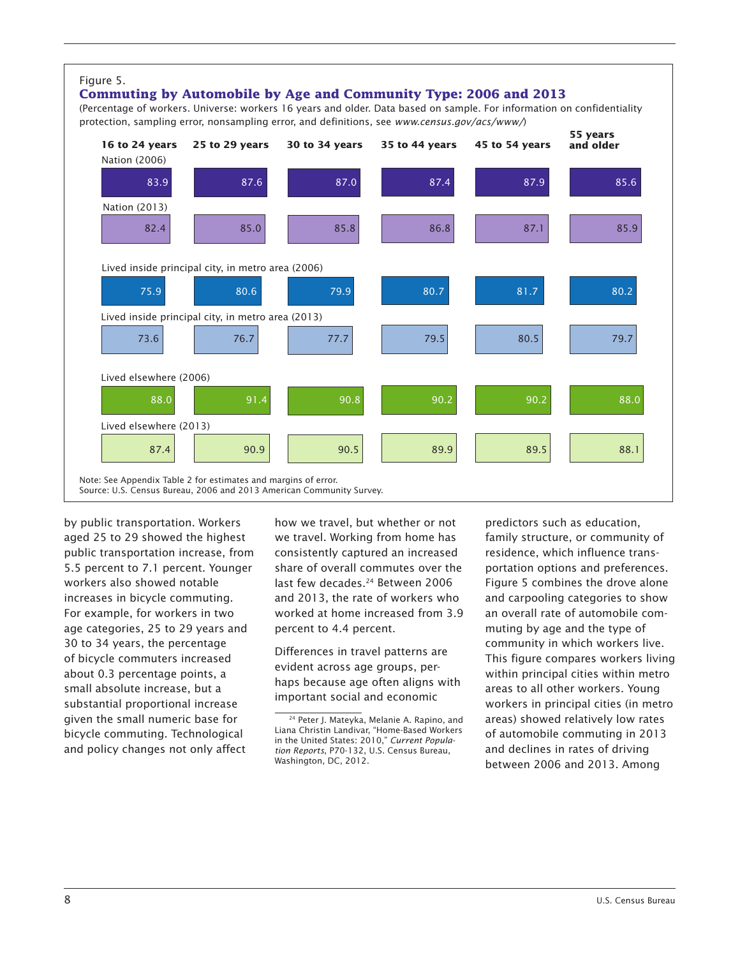

by public transportation. Workers aged 25 to 29 showed the highest public transportation increase, from 5.5 percent to 7.1 percent. Younger workers also showed notable increases in bicycle commuting. For example, for workers in two age categories, 25 to 29 years and 30 to 34 years, the percentage of bicycle commuters increased about 0.3 percentage points, a small absolute increase, but a substantial proportional increase given the small numeric base for bicycle commuting. Technological and policy changes not only affect

how we travel, but whether or not we travel. Working from home has consistently captured an increased share of overall commutes over the last few decades.<sup>24</sup> Between 2006 and 2013, the rate of workers who worked at home increased from 3.9 percent to 4.4 percent.

Differences in travel patterns are evident across age groups, perhaps because age often aligns with important social and economic

predictors such as education, family structure, or community of residence, which influence transportation options and preferences. Figure 5 combines the drove alone and carpooling categories to show an overall rate of automobile commuting by age and the type of community in which workers live. This figure compares workers living within principal cities within metro areas to all other workers. Young workers in principal cities (in metro areas) showed relatively low rates of automobile commuting in 2013 and declines in rates of driving between 2006 and 2013. Among

<sup>24</sup> Peter J. Mateyka, Melanie A. Rapino, and Liana Christin Landivar, "Home-Based Workers in the United States: 2010," *Current Population Reports*, P70-132, U.S. Census Bureau, Washington, DC, 2012.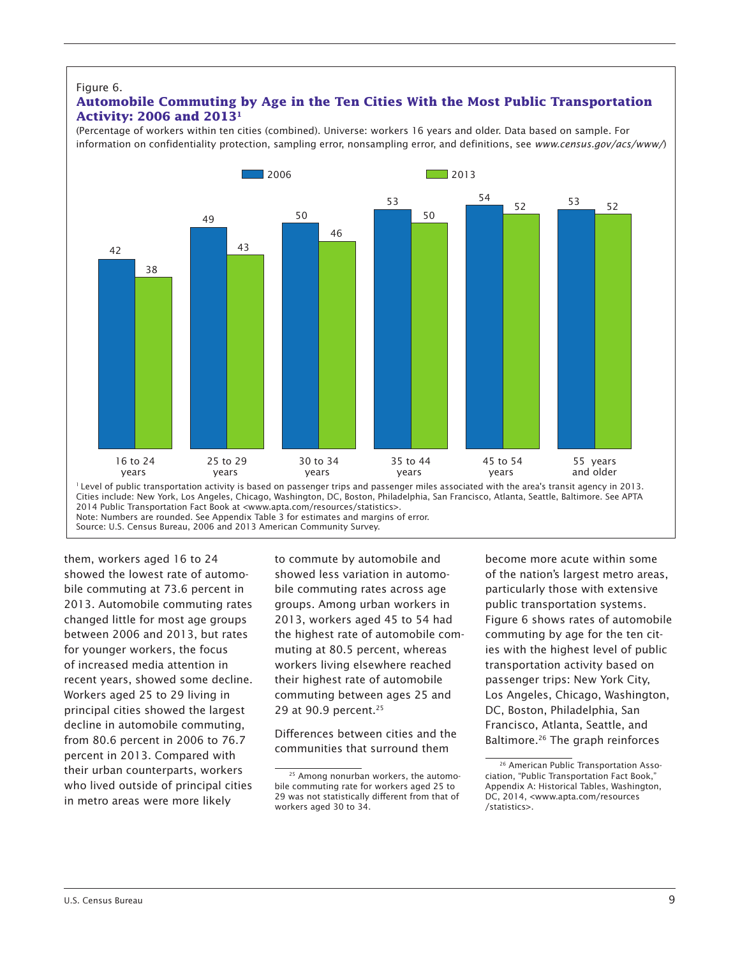#### Figure 6.

#### **Automobile Commuting by Age in the Ten Cities With the Most Public Transportation Activity: 2006 and 20131**

(Percentage of workers within ten cities (combined). Universe: workers 16 years and older. Data based on sample. For information on confidentiality protection, sampling error, nonsampling error, and definitions, see *www.census.gov/acs/www/*)



Note: Numbers are rounded. See Appendix Table 3 for estimates and margins of error.

Source: U.S. Census Bureau, 2006 and 2013 American Community Survey.

them, workers aged 16 to 24 showed the lowest rate of automobile commuting at 73.6 percent in 2013. Automobile commuting rates changed little for most age groups between 2006 and 2013, but rates for younger workers, the focus of increased media attention in recent years, showed some decline. Workers aged 25 to 29 living in principal cities showed the largest decline in automobile commuting, from 80.6 percent in 2006 to 76.7 percent in 2013. Compared with their urban counterparts, workers who lived outside of principal cities in metro areas were more likely

to commute by automobile and showed less variation in automobile commuting rates across age groups. Among urban workers in 2013, workers aged 45 to 54 had the highest rate of automobile commuting at 80.5 percent, whereas workers living elsewhere reached their highest rate of automobile commuting between ages 25 and 29 at 90.9 percent.25

Differences between cities and the communities that surround them

become more acute within some of the nation's largest metro areas, particularly those with extensive public transportation systems. Figure 6 shows rates of automobile commuting by age for the ten cities with the highest level of public transportation activity based on passenger trips: New York City, Los Angeles, Chicago, Washington, DC, Boston, Philadelphia, San Francisco, Atlanta, Seattle, and Baltimore.<sup>26</sup> The graph reinforces

<sup>25</sup> Among nonurban workers, the automobile commuting rate for workers aged 25 to 29 was not statistically different from that of workers aged 30 to 34.

<sup>&</sup>lt;sup>26</sup> American Public Transportation Association, "Public Transportation Fact Book," Appendix A: Historical Tables, Washington, DC, 2014, <www.apta.com/resources /statistics>.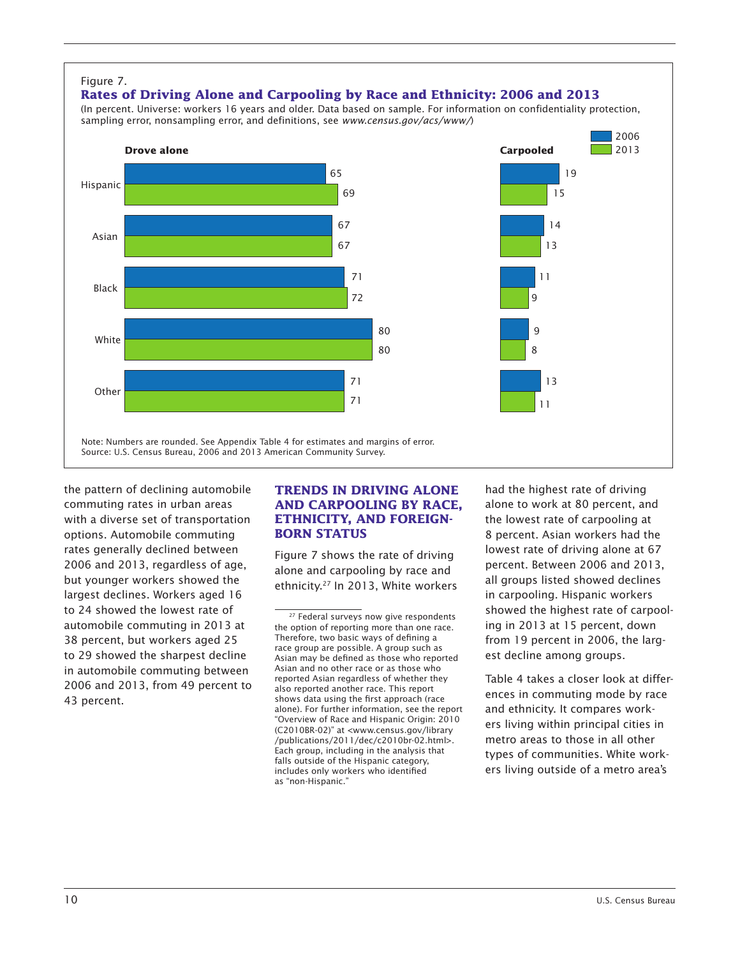

the pattern of declining automobile commuting rates in urban areas with a diverse set of transportation options. Automobile commuting rates generally declined between 2006 and 2013, regardless of age, but younger workers showed the largest declines. Workers aged 16 to 24 showed the lowest rate of automobile commuting in 2013 at 38 percent, but workers aged 25 to 29 showed the sharpest decline in automobile commuting between 2006 and 2013, from 49 percent to 43 percent.

#### **TRENDS IN DRIVING ALONE AND CARPOOLING BY RACE, ETHNICITY, AND FOREIGN-BORN STATUS**

Figure 7 shows the rate of driving alone and carpooling by race and ethnicity.27 In 2013, White workers

had the highest rate of driving alone to work at 80 percent, and the lowest rate of carpooling at 8 percent. Asian workers had the lowest rate of driving alone at 67 percent. Between 2006 and 2013, all groups listed showed declines in carpooling. Hispanic workers showed the highest rate of carpooling in 2013 at 15 percent, down from 19 percent in 2006, the largest decline among groups.

Table 4 takes a closer look at differences in commuting mode by race and ethnicity. It compares workers living within principal cities in metro areas to those in all other types of communities. White workers living outside of a metro area's

<sup>&</sup>lt;sup>27</sup> Federal surveys now give respondents the option of reporting more than one race. Therefore, two basic ways of defining a race group are possible. A group such as Asian may be defined as those who reported Asian and no other race or as those who reported Asian regardless of whether they also reported another race. This report shows data using the first approach (race alone). For further information, see the report "Overview of Race and Hispanic Origin: 2010 (C2010BR-02)" at <www.census.gov/library /publications/2011/dec/c2010br-02.html>. Each group, including in the analysis that falls outside of the Hispanic category, includes only workers who identified as "non-Hispanic."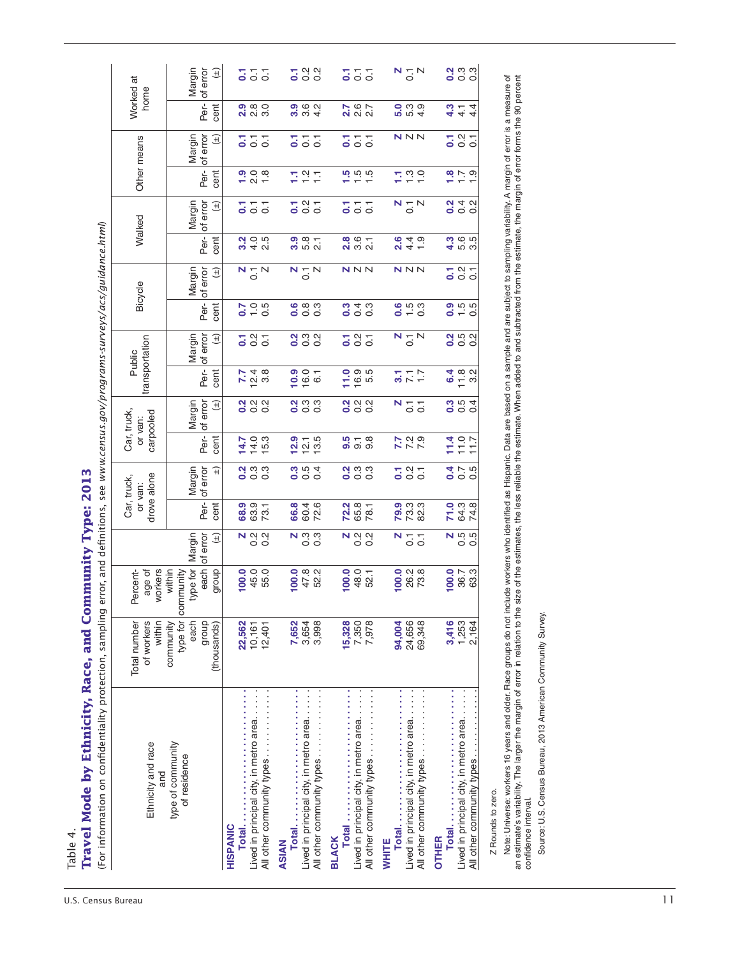| Per-<br>cent<br>$\begin{array}{c} 0 \\ 0 \\ 0 \end{array}$<br>$\frac{9}{2}$ $\frac{6}{2}$ $\frac{6}{4}$<br>7007<br>$\frac{1}{2}$<br>$\frac{1}{2}$<br>$\frac{1}{2}$<br>$\frac{1}{2}$<br>$\frac{1}{2}$<br>$\frac{1}{2}$<br>$\frac{1}{2}$<br><br>$\frac{1}{2}$<br><br><br><br><br><br><br><br><br><br><br><br><br><br><br><br><br><br><br><br><br><br><br><br><br><br><br><br><br><br><br><br>თ<br>$\frac{1}{4}$ 4<br>4.3<br>ςi<br>of error<br>NNN<br>Margin<br>$\frac{7}{9}$ $\frac{8}{9}$ $\frac{7}{9}$<br>$(\pm)$<br>$\overline{C}$<br>$\overline{c}$<br>5<br>$\overline{O}$<br>$\overline{c}$<br>5<br>$\overline{0}$ .<br>Other means<br>5<br>Per-<br>cent<br>$\frac{1}{2}$ o $\frac{1}{2}$ o $\frac{1}{2}$<br>7.99<br>$\frac{1}{1} - \frac{1}{1}$<br>돌유도<br>of error<br>Margin<br>$N \underset{O}{\sim} N$<br>$(\pm)$<br>$5\frac{1}{2}$<br>$\overline{C}$<br>555<br>5<br>$\overline{5}$ $\overline{5}$<br>Walked<br>Per-<br>cent<br>$\frac{3}{4}$ is a set<br>$3400$<br>$400$<br>$\frac{5}{2}$<br>$\frac{5}{2}$<br>$\frac{5}{2}$<br>$\frac{5}{2}$<br>$\frac{5}{2}$<br>$\frac{5}{2}$<br>$\frac{5}{2}$<br>$\frac{5}{2}$<br>$\frac{8}{20}$ $\frac{6}{20}$ $\frac{1}{20}$<br>$\frac{6}{9}$ 4 5 $\frac{4}{9}$<br>of error<br>$\begin{array}{c}\nN \\ \hline\n0 \\ \hline\n\end{array}$<br>NNN<br>NNN<br>$\frac{7}{9}$ $\frac{8}{9}$ $\frac{7}{9}$<br>Margin<br>$N \underset{O}{\sim} N$<br>$\widehat{H}$<br>Bicycle<br>Per-<br>cent<br>$\frac{6}{10}$<br>$\frac{1}{10}$<br>$\frac{6}{5}$ $\frac{8}{5}$ $\frac{8}{5}$<br>0000<br>0.500<br>$0.56$<br>$-0.5$<br>Margin<br>of error<br>587<br>$\frac{1}{2}$ $\frac{1}{2}$ $\frac{1}{2}$ $\frac{1}{2}$ $\frac{1}{2}$<br>$\begin{array}{c}\nN - N \\ 0\n\end{array}$<br>0.500<br>$\frac{7}{9}$ $\frac{8}{9}$ $\frac{7}{9}$<br>$(\pm)$<br>transportation<br>Public<br>Per-<br>cent<br>16.0<br>$649$<br>$792$<br>$12.8$<br>3.8<br>7.7<br>$\frac{7}{25}$ $\frac{7}{25}$<br><u>;</u><br>of error<br>$\begin{array}{ccc}\n 0 & 0 & 0 \\  0 & 0 & 0\n \end{array}$<br>$\frac{1}{2}$ $\frac{1}{2}$ $\frac{1}{2}$ $\frac{1}{2}$<br>$\frac{1}{2}$ $\frac{1}{2}$ $\frac{1}{2}$ $\frac{1}{2}$ $\frac{1}{2}$<br>0.04<br>Margin<br>$(\pm)$<br>$N_{\odot}$ $\overline{C}$<br>Car, truck,<br>carpooled<br>or van:<br>Per-<br>$770$<br>$770$<br>$77$<br>cent<br>$779$<br>7.29<br>$14.0$<br>15.3<br>12.9<br>12.5<br>3.56<br>9.8<br>14.7<br>of error<br>$\frac{a}{c}$ $\frac{c}{c}$ $\frac{c}{c}$<br>$0.04$<br>$0.04$<br>$\frac{1}{2}$ $\frac{1}{2}$ $\frac{1}{2}$ $\frac{1}{2}$ $\frac{1}{2}$<br>Margin<br>$\frac{7}{9}$ $\frac{8}{9}$ $\frac{7}{9}$<br>0.56<br>$\widehat{+}$<br>drove alone<br>Car, truck,<br>or van:<br>Per-<br>63.9<br>66.8<br><b>72.3</b><br>65.3<br>78.1<br>00<br>2009<br>2009<br><b>7442</b><br><b>7447</b><br>cent<br>68.9<br>60.4<br>72.6<br>$\begin{array}{c}\nN & \text{if } \Omega \\ O & O\n\end{array}$<br>of error<br>$\begin{array}{c}\nN & \alpha & \alpha \\ \circ & \circ\n\end{array}$<br>$N \underset{O}{\overset{\alpha}{\circ}} \underset{O}{\overset{\alpha}{\circ}}$<br>$\begin{array}{c}\nN & Q & Q \\ \circ & O & \n\end{array}$<br>Margin<br>$N \overline{C}$<br>$\widehat{H}$<br>type for<br>each<br>within<br>26.2<br>73.8<br>$\frac{100.0}{36.7}$<br>63.3<br>workers<br>dhoub<br>100.0<br>45.0<br>55.0<br>100.0<br>47.8<br>52.2<br>100.0<br>48.0<br>52.1<br>100.0<br>ercent-<br>age of<br>community<br>p.<br>type for<br>of workers<br>within<br>community<br>24,656<br>3,416<br>1,253<br>2,164<br>each<br>group<br><b>7,652</b><br>3,654<br>3,998<br>7,350<br>7,978<br>Total number<br>22,562<br>15,328<br>94,004<br>69,348<br>(thousands)<br>10,161<br>12,401<br>Lived in principal city, in metro area<br>Lived in principal city, in metro area<br>$\frac{1}{2}$<br>Lived in principal city, in metro area<br>Lived in principal city, in metro area.<br>All other community types<br>All other community types<br>type of community<br>Ethnicity and race<br>All other community types<br>All other community types<br>Total<br>All other community types.<br>of residence<br>and<br>Total<br>Z Rounds to zero.<br>Total<br>HISPANIC<br><b>BLACK</b><br><b>OTHER</b><br><b>WHITE</b><br>ASIAN | an estimate's variability. The larger the margin of error in relation to the si<br>Source: U.S. Census Bureau, 2013 American Community Survey.<br>confidence interval. | home | Note: Universe: workers 16 years and older. Race groups do not include workers who identified as Hispanic. Data are based on a sample and are subject to sampling variability. A margin of error is a measure of<br>sstimate's va<br>Worked at |  |  |  |  |  |  |  |  |  |                                                                       |
|------------------------------------------------------------------------------------------------------------------------------------------------------------------------------------------------------------------------------------------------------------------------------------------------------------------------------------------------------------------------------------------------------------------------------------------------------------------------------------------------------------------------------------------------------------------------------------------------------------------------------------------------------------------------------------------------------------------------------------------------------------------------------------------------------------------------------------------------------------------------------------------------------------------------------------------------------------------------------------------------------------------------------------------------------------------------------------------------------------------------------------------------------------------------------------------------------------------------------------------------------------------------------------------------------------------------------------------------------------------------------------------------------------------------------------------------------------------------------------------------------------------------------------------------------------------------------------------------------------------------------------------------------------------------------------------------------------------------------------------------------------------------------------------------------------------------------------------------------------------------------------------------------------------------------------------------------------------------------------------------------------------------------------------------------------------------------------------------------------------------------------------------------------------------------------------------------------------------------------------------------------------------------------------------------------------------------------------------------------------------------------------------------------------------------------------------------------------------------------------------------------------------------------------------------------------------------------------------------------------------------------------------------------------------------------------------------------------------------------------------------------------------------------------------------------------------------------------------------------------------------------------------------------------------------------------------------------------------------------------------------------------------------------------------------------------------------------------------------------------------------------------------------------------------------------------------------------------------------------------------------------------------------------------------------------------------------------------------------------------------------------------------------------------------------------------------------------------------------------------------------------------------------------------------------------------------------------------------------------------------------------------------------------------------------------------------------------------------------------------------------------------------------------------------------------------------------------------------------------------------------------------------------------------------------------------------------------------------------------------------------------------------------------------------------------------------------------------------------------------------------------------------------------------------|------------------------------------------------------------------------------------------------------------------------------------------------------------------------|------|------------------------------------------------------------------------------------------------------------------------------------------------------------------------------------------------------------------------------------------------|--|--|--|--|--|--|--|--|--|-----------------------------------------------------------------------|
|                                                                                                                                                                                                                                                                                                                                                                                                                                                                                                                                                                                                                                                                                                                                                                                                                                                                                                                                                                                                                                                                                                                                                                                                                                                                                                                                                                                                                                                                                                                                                                                                                                                                                                                                                                                                                                                                                                                                                                                                                                                                                                                                                                                                                                                                                                                                                                                                                                                                                                                                                                                                                                                                                                                                                                                                                                                                                                                                                                                                                                                                                                                                                                                                                                                                                                                                                                                                                                                                                                                                                                                                                                                                                                                                                                                                                                                                                                                                                                                                                                                                                                                                                                        |                                                                                                                                                                        |      |                                                                                                                                                                                                                                                |  |  |  |  |  |  |  |  |  |                                                                       |
|                                                                                                                                                                                                                                                                                                                                                                                                                                                                                                                                                                                                                                                                                                                                                                                                                                                                                                                                                                                                                                                                                                                                                                                                                                                                                                                                                                                                                                                                                                                                                                                                                                                                                                                                                                                                                                                                                                                                                                                                                                                                                                                                                                                                                                                                                                                                                                                                                                                                                                                                                                                                                                                                                                                                                                                                                                                                                                                                                                                                                                                                                                                                                                                                                                                                                                                                                                                                                                                                                                                                                                                                                                                                                                                                                                                                                                                                                                                                                                                                                                                                                                                                                                        |                                                                                                                                                                        |      |                                                                                                                                                                                                                                                |  |  |  |  |  |  |  |  |  | Margin<br>of error<br>$(\pm)$                                         |
|                                                                                                                                                                                                                                                                                                                                                                                                                                                                                                                                                                                                                                                                                                                                                                                                                                                                                                                                                                                                                                                                                                                                                                                                                                                                                                                                                                                                                                                                                                                                                                                                                                                                                                                                                                                                                                                                                                                                                                                                                                                                                                                                                                                                                                                                                                                                                                                                                                                                                                                                                                                                                                                                                                                                                                                                                                                                                                                                                                                                                                                                                                                                                                                                                                                                                                                                                                                                                                                                                                                                                                                                                                                                                                                                                                                                                                                                                                                                                                                                                                                                                                                                                                        |                                                                                                                                                                        |      |                                                                                                                                                                                                                                                |  |  |  |  |  |  |  |  |  | $\overline{5}$ $\overline{5}$<br>5                                    |
|                                                                                                                                                                                                                                                                                                                                                                                                                                                                                                                                                                                                                                                                                                                                                                                                                                                                                                                                                                                                                                                                                                                                                                                                                                                                                                                                                                                                                                                                                                                                                                                                                                                                                                                                                                                                                                                                                                                                                                                                                                                                                                                                                                                                                                                                                                                                                                                                                                                                                                                                                                                                                                                                                                                                                                                                                                                                                                                                                                                                                                                                                                                                                                                                                                                                                                                                                                                                                                                                                                                                                                                                                                                                                                                                                                                                                                                                                                                                                                                                                                                                                                                                                                        |                                                                                                                                                                        |      |                                                                                                                                                                                                                                                |  |  |  |  |  |  |  |  |  | $\frac{7}{9}$ $\frac{8}{9}$ $\frac{8}{9}$                             |
|                                                                                                                                                                                                                                                                                                                                                                                                                                                                                                                                                                                                                                                                                                                                                                                                                                                                                                                                                                                                                                                                                                                                                                                                                                                                                                                                                                                                                                                                                                                                                                                                                                                                                                                                                                                                                                                                                                                                                                                                                                                                                                                                                                                                                                                                                                                                                                                                                                                                                                                                                                                                                                                                                                                                                                                                                                                                                                                                                                                                                                                                                                                                                                                                                                                                                                                                                                                                                                                                                                                                                                                                                                                                                                                                                                                                                                                                                                                                                                                                                                                                                                                                                                        |                                                                                                                                                                        |      |                                                                                                                                                                                                                                                |  |  |  |  |  |  |  |  |  | 555                                                                   |
|                                                                                                                                                                                                                                                                                                                                                                                                                                                                                                                                                                                                                                                                                                                                                                                                                                                                                                                                                                                                                                                                                                                                                                                                                                                                                                                                                                                                                                                                                                                                                                                                                                                                                                                                                                                                                                                                                                                                                                                                                                                                                                                                                                                                                                                                                                                                                                                                                                                                                                                                                                                                                                                                                                                                                                                                                                                                                                                                                                                                                                                                                                                                                                                                                                                                                                                                                                                                                                                                                                                                                                                                                                                                                                                                                                                                                                                                                                                                                                                                                                                                                                                                                                        |                                                                                                                                                                        |      |                                                                                                                                                                                                                                                |  |  |  |  |  |  |  |  |  | $N \underset{O}{\sim} N$                                              |
|                                                                                                                                                                                                                                                                                                                                                                                                                                                                                                                                                                                                                                                                                                                                                                                                                                                                                                                                                                                                                                                                                                                                                                                                                                                                                                                                                                                                                                                                                                                                                                                                                                                                                                                                                                                                                                                                                                                                                                                                                                                                                                                                                                                                                                                                                                                                                                                                                                                                                                                                                                                                                                                                                                                                                                                                                                                                                                                                                                                                                                                                                                                                                                                                                                                                                                                                                                                                                                                                                                                                                                                                                                                                                                                                                                                                                                                                                                                                                                                                                                                                                                                                                                        |                                                                                                                                                                        |      |                                                                                                                                                                                                                                                |  |  |  |  |  |  |  |  |  | $\frac{1}{2}$ $\frac{1}{2}$ $\frac{1}{2}$ $\frac{1}{2}$ $\frac{1}{2}$ |
|                                                                                                                                                                                                                                                                                                                                                                                                                                                                                                                                                                                                                                                                                                                                                                                                                                                                                                                                                                                                                                                                                                                                                                                                                                                                                                                                                                                                                                                                                                                                                                                                                                                                                                                                                                                                                                                                                                                                                                                                                                                                                                                                                                                                                                                                                                                                                                                                                                                                                                                                                                                                                                                                                                                                                                                                                                                                                                                                                                                                                                                                                                                                                                                                                                                                                                                                                                                                                                                                                                                                                                                                                                                                                                                                                                                                                                                                                                                                                                                                                                                                                                                                                                        |                                                                                                                                                                        |      |                                                                                                                                                                                                                                                |  |  |  |  |  |  |  |  |  |                                                                       |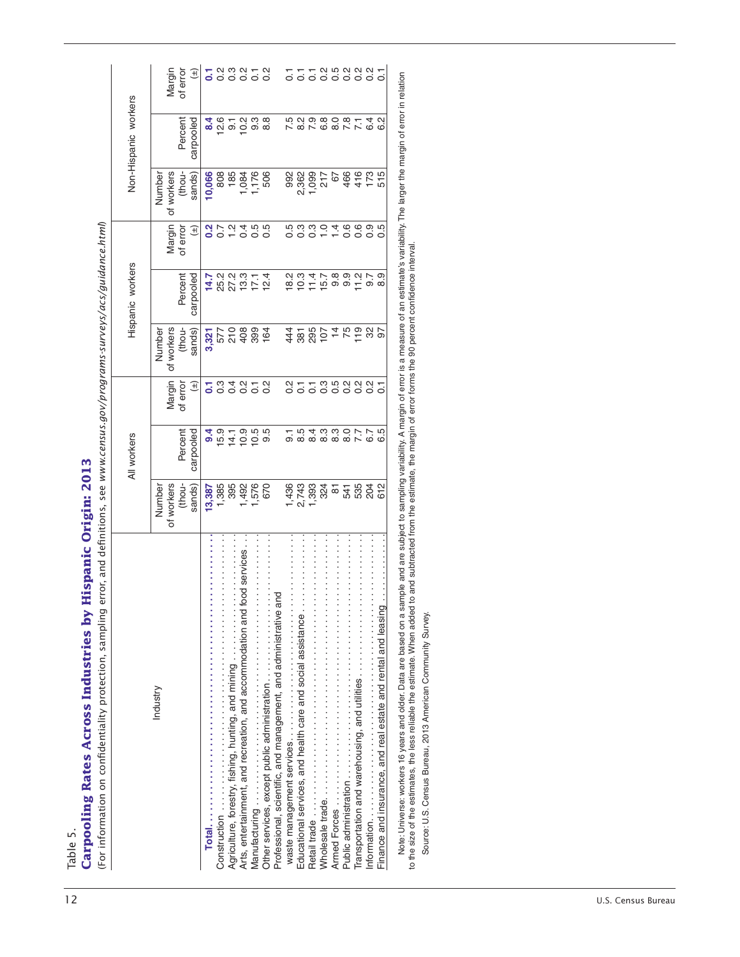|                    |                                                                                                                                                                                                                                                                                                                                                                                            |                     | All workers          |                                 |                 | Hispanic workers     |                   |                 | Non-Hispanic workers      |                                                                   |
|--------------------|--------------------------------------------------------------------------------------------------------------------------------------------------------------------------------------------------------------------------------------------------------------------------------------------------------------------------------------------------------------------------------------------|---------------------|----------------------|---------------------------------|-----------------|----------------------|-------------------|-----------------|---------------------------|-------------------------------------------------------------------|
|                    | Industry                                                                                                                                                                                                                                                                                                                                                                                   | Number              |                      |                                 | Number          |                      |                   | Number          |                           |                                                                   |
|                    |                                                                                                                                                                                                                                                                                                                                                                                            | of workers          |                      | Margin                          | of workers      |                      | Margin            | of workers      |                           | Margin                                                            |
|                    |                                                                                                                                                                                                                                                                                                                                                                                            | thou-<br>sands)     | Percent<br>carpooled | of error<br>Đ                   | thou-<br>sands) | Percent<br>carpooled | of error<br>Đ     | thou-<br>sands) | Percent<br>carpooled      | of error<br>Đ                                                     |
|                    | Total.                                                                                                                                                                                                                                                                                                                                                                                     | 13,387              | 9.4                  | 5                               | 3,321           | 14.7                 | $\overline{0}$ .2 | 10,066          | 8.4                       | $\overline{\mathbf{c}}$                                           |
|                    |                                                                                                                                                                                                                                                                                                                                                                                            | 1,385               | 15.9                 | $0.\overline{3}$                | 577             | 25.2                 | 0.7               | 808             | 12.6                      |                                                                   |
|                    | $\vdots$<br>$\vdots$<br>Agriculture, forestry, fishing, hunting, and mining                                                                                                                                                                                                                                                                                                                | 395                 | 14.1                 | 0.4                             | 210             | 27.2                 | $\frac{1}{2}$     | 185             | $\overline{9}$ .          |                                                                   |
|                    | ood services.<br>Arts, entertainment, and recreation, and accommodation and f                                                                                                                                                                                                                                                                                                              | 1,576<br>1,492      |                      | $\frac{2}{3}$<br>$\overline{C}$ | 408<br>399      | 13.3<br>17,1         |                   | 1,084<br>1,176  |                           |                                                                   |
|                    | $\frac{1}{2}$<br>Other services, except public administration                                                                                                                                                                                                                                                                                                                              | 670                 |                      | $0.\overline{2}$                | 164             | 12.4                 |                   | 506             | ှ<br>ပြ တံ ထိ<br>ပြ တံ ထိ |                                                                   |
|                    | $\frac{1}{2}$<br>Professional, scientific, and management, and administrative and                                                                                                                                                                                                                                                                                                          |                     |                      |                                 |                 |                      |                   |                 |                           |                                                                   |
|                    |                                                                                                                                                                                                                                                                                                                                                                                            | 1,436               | $\overline{5}$       | Ņ<br>Ö                          | 44              | 18.2                 |                   | 992             |                           | $\overline{C}$                                                    |
|                    |                                                                                                                                                                                                                                                                                                                                                                                            | 2,743               |                      | $\overline{c}$                  |                 | 10.3                 |                   | 2,362           |                           | $\overline{C}$                                                    |
|                    |                                                                                                                                                                                                                                                                                                                                                                                            | 1,393               | 8.4<br>8.4           | $\overline{0}$                  | 381             | 11.4                 | 5<br>1000<br>100  | 1,099           |                           | $\overline{C}$                                                    |
|                    |                                                                                                                                                                                                                                                                                                                                                                                            | 324                 | က္က<br>ထိ ထိ         |                                 | 107             | 15.7                 | $\frac{0}{1}$     | 217             |                           |                                                                   |
|                    |                                                                                                                                                                                                                                                                                                                                                                                            | $\overline{\infty}$ |                      |                                 | $\overline{4}$  | $9.\overline{8}$     | 1.4               | 67              |                           |                                                                   |
|                    | $\vdots$<br>Public administration                                                                                                                                                                                                                                                                                                                                                          | 541                 |                      | cooooo                          | 75              | 9.9                  | 0.6               | 466             | 7.8                       | $\begin{array}{c} 0.000000 \\ 0.000000 \\ 0.00000 \\ \end{array}$ |
|                    | $\frac{1}{2}$<br>Transportation and warehousing, and utilities                                                                                                                                                                                                                                                                                                                             | 535                 |                      |                                 | $19$<br>$32$    | 11.2                 | 0.9               | 416             | $\overline{7}1$           |                                                                   |
|                    | $\vdots$                                                                                                                                                                                                                                                                                                                                                                                   | 204                 |                      |                                 |                 | 9.7                  |                   | 173             | 6.4                       |                                                                   |
|                    | Finance and insurance, and real estate and rental and leasing                                                                                                                                                                                                                                                                                                                              | 612                 | rö.<br>co            | $\overline{C}$                  | 6               | 8.9                  | rö<br>Ö           | 515             | ي<br>0                    |                                                                   |
|                    | Note: Universe: workers 16 years and older. Data are based on a sample and are subject to samplify. A margin of error is a measure of an estimate's variability. The larger the margin of error in relation<br>to the size of the estimates, the less reliable the estimate. When added to and subtracted from the estimate, the margin of error forms the 90 percent confidence interval. |                     |                      |                                 |                 |                      |                   |                 |                           |                                                                   |
|                    |                                                                                                                                                                                                                                                                                                                                                                                            |                     |                      |                                 |                 |                      |                   |                 |                           |                                                                   |
|                    | Source: U.S. Census Bureau, 2013 American Community Survey.                                                                                                                                                                                                                                                                                                                                |                     |                      |                                 |                 |                      |                   |                 |                           |                                                                   |
|                    |                                                                                                                                                                                                                                                                                                                                                                                            |                     |                      |                                 |                 |                      |                   |                 |                           |                                                                   |
|                    |                                                                                                                                                                                                                                                                                                                                                                                            |                     |                      |                                 |                 |                      |                   |                 |                           |                                                                   |
|                    |                                                                                                                                                                                                                                                                                                                                                                                            |                     |                      |                                 |                 |                      |                   |                 |                           |                                                                   |
|                    |                                                                                                                                                                                                                                                                                                                                                                                            |                     |                      |                                 |                 |                      |                   |                 |                           |                                                                   |
|                    |                                                                                                                                                                                                                                                                                                                                                                                            |                     |                      |                                 |                 |                      |                   |                 |                           |                                                                   |
|                    |                                                                                                                                                                                                                                                                                                                                                                                            |                     |                      |                                 |                 |                      |                   |                 |                           |                                                                   |
|                    |                                                                                                                                                                                                                                                                                                                                                                                            |                     |                      |                                 |                 |                      |                   |                 |                           |                                                                   |
|                    |                                                                                                                                                                                                                                                                                                                                                                                            |                     |                      |                                 |                 |                      |                   |                 |                           |                                                                   |
|                    |                                                                                                                                                                                                                                                                                                                                                                                            |                     |                      |                                 |                 |                      |                   |                 |                           |                                                                   |
|                    |                                                                                                                                                                                                                                                                                                                                                                                            |                     |                      |                                 |                 |                      |                   |                 |                           |                                                                   |
|                    |                                                                                                                                                                                                                                                                                                                                                                                            |                     |                      |                                 |                 |                      |                   |                 |                           |                                                                   |
|                    |                                                                                                                                                                                                                                                                                                                                                                                            |                     |                      |                                 |                 |                      |                   |                 |                           |                                                                   |
|                    |                                                                                                                                                                                                                                                                                                                                                                                            |                     |                      |                                 |                 |                      |                   |                 |                           |                                                                   |
| U.S. Census Bureau |                                                                                                                                                                                                                                                                                                                                                                                            |                     |                      |                                 |                 |                      |                   |                 |                           |                                                                   |
|                    |                                                                                                                                                                                                                                                                                                                                                                                            |                     |                      |                                 |                 |                      |                   |                 |                           |                                                                   |
|                    |                                                                                                                                                                                                                                                                                                                                                                                            |                     |                      |                                 |                 |                      |                   |                 |                           |                                                                   |
|                    |                                                                                                                                                                                                                                                                                                                                                                                            |                     |                      |                                 |                 |                      |                   |                 |                           |                                                                   |
|                    |                                                                                                                                                                                                                                                                                                                                                                                            |                     |                      |                                 |                 |                      |                   |                 |                           |                                                                   |
|                    |                                                                                                                                                                                                                                                                                                                                                                                            |                     |                      |                                 |                 |                      |                   |                 |                           |                                                                   |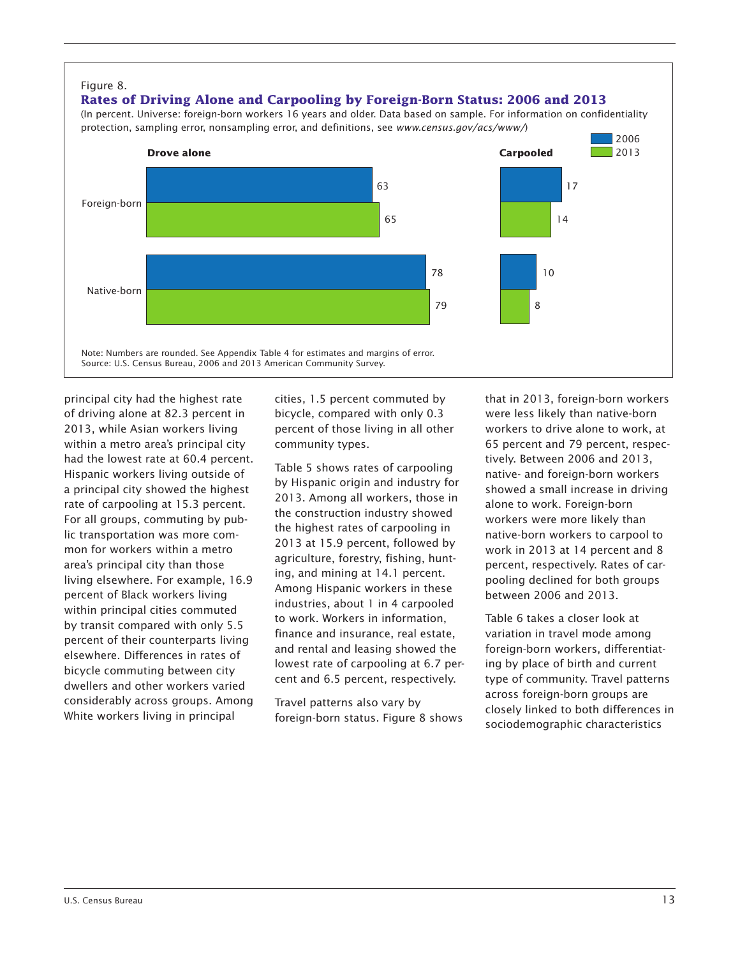

principal city had the highest rate of driving alone at 82.3 percent in 2013, while Asian workers living within a metro area's principal city had the lowest rate at 60.4 percent. Hispanic workers living outside of a principal city showed the highest rate of carpooling at 15.3 percent. For all groups, commuting by public transportation was more common for workers within a metro area's principal city than those living elsewhere. For example, 16.9 percent of Black workers living within principal cities commuted by transit compared with only 5.5 percent of their counterparts living elsewhere. Differences in rates of bicycle commuting between city dwellers and other workers varied considerably across groups. Among White workers living in principal

cities, 1.5 percent commuted by bicycle, compared with only 0.3 percent of those living in all other community types.

Table 5 shows rates of carpooling by Hispanic origin and industry for 2013. Among all workers, those in the construction industry showed the highest rates of carpooling in 2013 at 15.9 percent, followed by agriculture, forestry, fishing, hunting, and mining at 14.1 percent. Among Hispanic workers in these industries, about 1 in 4 carpooled to work. Workers in information, finance and insurance, real estate, and rental and leasing showed the lowest rate of carpooling at 6.7 percent and 6.5 percent, respectively.

Travel patterns also vary by foreign-born status. Figure 8 shows

that in 2013, foreign-born workers were less likely than native-born workers to drive alone to work, at 65 percent and 79 percent, respectively. Between 2006 and 2013, native- and foreign-born workers showed a small increase in driving alone to work. Foreign-born workers were more likely than native-born workers to carpool to work in 2013 at 14 percent and 8 percent, respectively. Rates of carpooling declined for both groups between 2006 and 2013.

Table 6 takes a closer look at variation in travel mode among foreign-born workers, differentiating by place of birth and current type of community. Travel patterns across foreign-born groups are closely linked to both differences in sociodemographic characteristics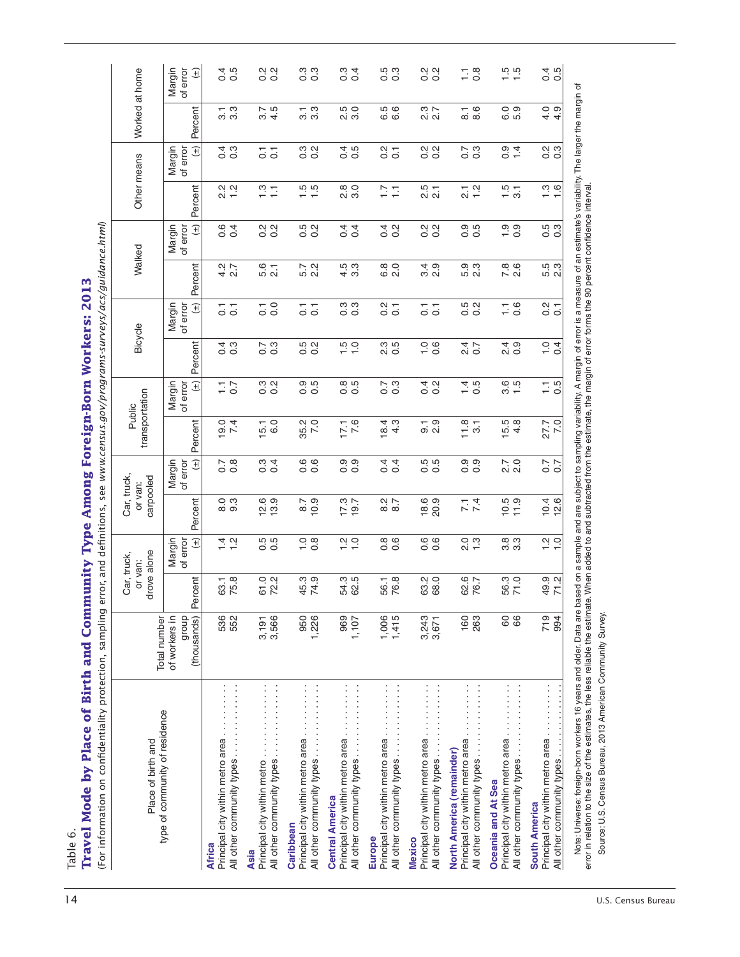| Percent<br>3<br>2 2<br>2 3<br>$\frac{1}{3}$ $\frac{3}{3}$<br>$3.\overline{7}$<br>$4.\overline{5}$<br>$\frac{1}{3}$ 3<br>0.<br>2. 0<br>6.5<br>6.6<br>$\frac{1}{8.6}$<br>ဝ ၈<br>$09$<br>$49$<br><b>ေ</b> က<br>m σ<br>0.5<br>0.200<br>$\frac{7}{0}$ 3<br>0.4<br>0.300<br>Margin<br>of error<br>$\widehat{H}$<br>$\frac{4}{0}$ $\frac{3}{0}$<br>$\frac{2}{0}$ $\frac{1}{0}$<br>$\overline{5}$ $\overline{5}$<br>o o<br>error in relation to the size of the estimates, the less reliable the estimate. When added to and subtracted from the estimate, the margin of error forms the 90 percent confidence interval.<br>$\frac{15}{3}$ 1<br>$2.2$<br>$-1.2$<br>$\frac{15}{15}$<br>8<br>2. 0<br>2.5<br>2.1<br>212<br>$\frac{0}{1}$<br>Percent<br>$\frac{2}{1}$ $\frac{1}{1}$<br>17<br>Margin<br>of error<br>0.200<br>004<br>0.200<br>0.5<br>0.0<br>$\frac{5}{10}$<br>$0.\overline{3}$<br>$\widehat{H}$<br>0.4<br>0.200<br>0.2<br>$4.5$<br>$3.3$<br>$780$<br>2.0<br>က္ က္<br>Percent<br>$4.2$<br>2.7<br>5.6<br>2.1<br>5.7<br>2.2<br>6.0<br>0.0<br>4 ರಿ.<br>೧ ರ<br>တ္ က္<br>ம் வ<br>ம் வ<br>$(\pm)$<br>Margin<br>of error<br>$\frac{1}{0}$<br>$\begin{array}{c} 0.3 \\ 0.3 \end{array}$<br>$\frac{2}{0}$ $\frac{1}{0}$<br>5<br>0.2<br>$\frac{2}{0}$ .<br>$\frac{1}{2}$ 0.6<br>$\overline{5}$ $\overline{5}$<br>$\overline{0}$ $\overline{1}$<br>$\overline{0}$ $\overline{1}$<br>Percent<br>$\frac{7}{0}$ 3<br>ro ci<br>$\frac{15}{10}$<br>က ဟ<br>$\frac{0}{0}$ 0.<br>$24$ $\overline{0}$<br>4. 0.<br>2. 0<br>4 ო<br>$\frac{0}{0}$ 4<br>0 0<br>N O<br>ခဲ့ ခ<br>$\widehat{H}$<br>0.2<br>0.0<br>0.5<br>0.5<br>0.5<br>0.0<br>0.5<br>1.5<br>$0.7$<br>0.3<br>$\frac{4}{4}$ 5<br>$\frac{1}{1}$ .5<br>Margin<br>of error<br>$\frac{1}{1}$ .7<br>Percent<br>$15.5$<br>$4.8$<br>$\frac{0.4}{7.4}$<br>$15.1$<br>6.0<br>35.2<br>7.0<br>$17.1$<br>7.6<br>$\frac{184}{4}$<br>် ၁<br>၁ လ<br>11.8<br>7.0<br>27.7<br>$\overline{3}$<br>$\bigoplus$<br>$0.7$<br>0.8<br>0.4<br>0.6<br>0.6<br>0.9<br>0.5<br>0.0<br>၀ ၀<br>၀ ၀<br>Margin<br>of error<br>0.4<br>2.7<br>2.0<br>$\frac{7}{0}$<br>Percent<br>$18.9$<br>20.9<br>00<br>00<br>00<br>$12.9$<br>$13.9$<br>$\frac{6}{9}$<br>$\frac{0}{9}$<br>$17.3$<br>19.7<br>$\frac{2}{8}$ .7<br>$10.5$<br>$11.9$<br>$10.4$<br>$12.6$<br>7.4<br>5<br>5<br>5<br>5<br>0.6<br>6<br>0 0<br>ထက္<br>ကက<br>$(\pm)$<br>$\frac{0}{0}$ .<br>$\frac{2}{1}$ $\frac{1}{1}$<br>2.300<br>$\frac{2}{1}$ $\frac{1}{1}$<br>Margin<br>of error<br>$\frac{4}{1}$ $\frac{6}{1}$<br>0 0<br>Percent<br>63.1<br>75.8<br>61.0<br>72.2<br>45.3<br>74.9<br>54.3<br>62.5<br>63.0<br>68.0<br>62.7<br>76.7<br>56.3<br>71.0<br>49.9<br>71.2<br>56.1<br>76.8<br>of workers in<br>dionb<br>994<br>(thousands)<br>719<br>536<br>552<br>1,226<br>1,415<br>3,243<br>3,566<br>950<br>969<br>1,006<br>160<br>263<br>88<br>3,191<br>1,107<br>3,671<br>Principal city within metro area<br>Principal city within metro area<br>type of community of residence<br>Principal city within metro area<br>Principal city within metro area<br>Principal city within metro area<br>Principal city within metro area<br>All other community types<br>All other community types<br>All other community types<br>All other community types<br>Principal city within metro area<br>Principal city within metro area<br>North America (remainder)<br>All other community types.<br>Principal city within metro.<br>All other community types.<br>All other community types.<br>All other community types.<br>All other community types.<br>Oceania and At Sea<br><b>Central America</b><br><b>South America</b><br>Caribbean<br>Europe<br><b>Mexico</b><br><b>Africa</b><br>Asia | Note: Universe: foreign-born workers 16 years and older. Data are based on a sample and are subject to sampling variability. A margin of error is a measure of an estimate's variability. The larger the margin of<br>Source: U.S. Census Bureau, 2013 American Community Survey. | Place of birth and |                     | drove alone<br>Car, truck,<br>or van: | Car, truck,<br>carpooled<br>or van: | transportation | Public | Bicycle | Walked | Other means | Worked at home |                                     |
|--------------------------------------------------------------------------------------------------------------------------------------------------------------------------------------------------------------------------------------------------------------------------------------------------------------------------------------------------------------------------------------------------------------------------------------------------------------------------------------------------------------------------------------------------------------------------------------------------------------------------------------------------------------------------------------------------------------------------------------------------------------------------------------------------------------------------------------------------------------------------------------------------------------------------------------------------------------------------------------------------------------------------------------------------------------------------------------------------------------------------------------------------------------------------------------------------------------------------------------------------------------------------------------------------------------------------------------------------------------------------------------------------------------------------------------------------------------------------------------------------------------------------------------------------------------------------------------------------------------------------------------------------------------------------------------------------------------------------------------------------------------------------------------------------------------------------------------------------------------------------------------------------------------------------------------------------------------------------------------------------------------------------------------------------------------------------------------------------------------------------------------------------------------------------------------------------------------------------------------------------------------------------------------------------------------------------------------------------------------------------------------------------------------------------------------------------------------------------------------------------------------------------------------------------------------------------------------------------------------------------------------------------------------------------------------------------------------------------------------------------------------------------------------------------------------------------------------------------------------------------------------------------------------------------------------------------------------------------------------------------------------------------------------------------------------------------------------------------------------------------------------------------------------------------------------------------------------------------------------------------------------------------------------------------------------------------------------------------------------------------------------------------------------------------------------------------------------------------------------------------------------------------------------------------------------------------------------------------------------------------------------------|-----------------------------------------------------------------------------------------------------------------------------------------------------------------------------------------------------------------------------------------------------------------------------------|--------------------|---------------------|---------------------------------------|-------------------------------------|----------------|--------|---------|--------|-------------|----------------|-------------------------------------|
|                                                                                                                                                                                                                                                                                                                                                                                                                                                                                                                                                                                                                                                                                                                                                                                                                                                                                                                                                                                                                                                                                                                                                                                                                                                                                                                                                                                                                                                                                                                                                                                                                                                                                                                                                                                                                                                                                                                                                                                                                                                                                                                                                                                                                                                                                                                                                                                                                                                                                                                                                                                                                                                                                                                                                                                                                                                                                                                                                                                                                                                                                                                                                                                                                                                                                                                                                                                                                                                                                                                                                                                                                                            |                                                                                                                                                                                                                                                                                   |                    | <b>Total number</b> |                                       |                                     |                |        |         |        |             |                | Margin<br>of error<br>$\widehat{H}$ |
|                                                                                                                                                                                                                                                                                                                                                                                                                                                                                                                                                                                                                                                                                                                                                                                                                                                                                                                                                                                                                                                                                                                                                                                                                                                                                                                                                                                                                                                                                                                                                                                                                                                                                                                                                                                                                                                                                                                                                                                                                                                                                                                                                                                                                                                                                                                                                                                                                                                                                                                                                                                                                                                                                                                                                                                                                                                                                                                                                                                                                                                                                                                                                                                                                                                                                                                                                                                                                                                                                                                                                                                                                                            |                                                                                                                                                                                                                                                                                   |                    |                     |                                       |                                     |                |        |         |        |             |                | 0.5                                 |
|                                                                                                                                                                                                                                                                                                                                                                                                                                                                                                                                                                                                                                                                                                                                                                                                                                                                                                                                                                                                                                                                                                                                                                                                                                                                                                                                                                                                                                                                                                                                                                                                                                                                                                                                                                                                                                                                                                                                                                                                                                                                                                                                                                                                                                                                                                                                                                                                                                                                                                                                                                                                                                                                                                                                                                                                                                                                                                                                                                                                                                                                                                                                                                                                                                                                                                                                                                                                                                                                                                                                                                                                                                            |                                                                                                                                                                                                                                                                                   |                    |                     |                                       |                                     |                |        |         |        |             |                | 0.200                               |
|                                                                                                                                                                                                                                                                                                                                                                                                                                                                                                                                                                                                                                                                                                                                                                                                                                                                                                                                                                                                                                                                                                                                                                                                                                                                                                                                                                                                                                                                                                                                                                                                                                                                                                                                                                                                                                                                                                                                                                                                                                                                                                                                                                                                                                                                                                                                                                                                                                                                                                                                                                                                                                                                                                                                                                                                                                                                                                                                                                                                                                                                                                                                                                                                                                                                                                                                                                                                                                                                                                                                                                                                                                            |                                                                                                                                                                                                                                                                                   |                    |                     |                                       |                                     |                |        |         |        |             |                | 0.3<br>0.0                          |
|                                                                                                                                                                                                                                                                                                                                                                                                                                                                                                                                                                                                                                                                                                                                                                                                                                                                                                                                                                                                                                                                                                                                                                                                                                                                                                                                                                                                                                                                                                                                                                                                                                                                                                                                                                                                                                                                                                                                                                                                                                                                                                                                                                                                                                                                                                                                                                                                                                                                                                                                                                                                                                                                                                                                                                                                                                                                                                                                                                                                                                                                                                                                                                                                                                                                                                                                                                                                                                                                                                                                                                                                                                            |                                                                                                                                                                                                                                                                                   |                    |                     |                                       |                                     |                |        |         |        |             |                | 0.4                                 |
|                                                                                                                                                                                                                                                                                                                                                                                                                                                                                                                                                                                                                                                                                                                                                                                                                                                                                                                                                                                                                                                                                                                                                                                                                                                                                                                                                                                                                                                                                                                                                                                                                                                                                                                                                                                                                                                                                                                                                                                                                                                                                                                                                                                                                                                                                                                                                                                                                                                                                                                                                                                                                                                                                                                                                                                                                                                                                                                                                                                                                                                                                                                                                                                                                                                                                                                                                                                                                                                                                                                                                                                                                                            |                                                                                                                                                                                                                                                                                   |                    |                     |                                       |                                     |                |        |         |        |             |                | 0.3<br>0.0                          |
|                                                                                                                                                                                                                                                                                                                                                                                                                                                                                                                                                                                                                                                                                                                                                                                                                                                                                                                                                                                                                                                                                                                                                                                                                                                                                                                                                                                                                                                                                                                                                                                                                                                                                                                                                                                                                                                                                                                                                                                                                                                                                                                                                                                                                                                                                                                                                                                                                                                                                                                                                                                                                                                                                                                                                                                                                                                                                                                                                                                                                                                                                                                                                                                                                                                                                                                                                                                                                                                                                                                                                                                                                                            |                                                                                                                                                                                                                                                                                   |                    |                     |                                       |                                     |                |        |         |        |             |                | 0.200                               |
|                                                                                                                                                                                                                                                                                                                                                                                                                                                                                                                                                                                                                                                                                                                                                                                                                                                                                                                                                                                                                                                                                                                                                                                                                                                                                                                                                                                                                                                                                                                                                                                                                                                                                                                                                                                                                                                                                                                                                                                                                                                                                                                                                                                                                                                                                                                                                                                                                                                                                                                                                                                                                                                                                                                                                                                                                                                                                                                                                                                                                                                                                                                                                                                                                                                                                                                                                                                                                                                                                                                                                                                                                                            |                                                                                                                                                                                                                                                                                   |                    |                     |                                       |                                     |                |        |         |        |             |                | $\frac{8}{2}$<br>H                  |
|                                                                                                                                                                                                                                                                                                                                                                                                                                                                                                                                                                                                                                                                                                                                                                                                                                                                                                                                                                                                                                                                                                                                                                                                                                                                                                                                                                                                                                                                                                                                                                                                                                                                                                                                                                                                                                                                                                                                                                                                                                                                                                                                                                                                                                                                                                                                                                                                                                                                                                                                                                                                                                                                                                                                                                                                                                                                                                                                                                                                                                                                                                                                                                                                                                                                                                                                                                                                                                                                                                                                                                                                                                            |                                                                                                                                                                                                                                                                                   |                    |                     |                                       |                                     |                |        |         |        |             |                | $\frac{1}{1}$ .5                    |
|                                                                                                                                                                                                                                                                                                                                                                                                                                                                                                                                                                                                                                                                                                                                                                                                                                                                                                                                                                                                                                                                                                                                                                                                                                                                                                                                                                                                                                                                                                                                                                                                                                                                                                                                                                                                                                                                                                                                                                                                                                                                                                                                                                                                                                                                                                                                                                                                                                                                                                                                                                                                                                                                                                                                                                                                                                                                                                                                                                                                                                                                                                                                                                                                                                                                                                                                                                                                                                                                                                                                                                                                                                            |                                                                                                                                                                                                                                                                                   |                    |                     |                                       |                                     |                |        |         |        |             |                | 0.5                                 |
|                                                                                                                                                                                                                                                                                                                                                                                                                                                                                                                                                                                                                                                                                                                                                                                                                                                                                                                                                                                                                                                                                                                                                                                                                                                                                                                                                                                                                                                                                                                                                                                                                                                                                                                                                                                                                                                                                                                                                                                                                                                                                                                                                                                                                                                                                                                                                                                                                                                                                                                                                                                                                                                                                                                                                                                                                                                                                                                                                                                                                                                                                                                                                                                                                                                                                                                                                                                                                                                                                                                                                                                                                                            |                                                                                                                                                                                                                                                                                   |                    |                     |                                       |                                     |                |        |         |        |             |                |                                     |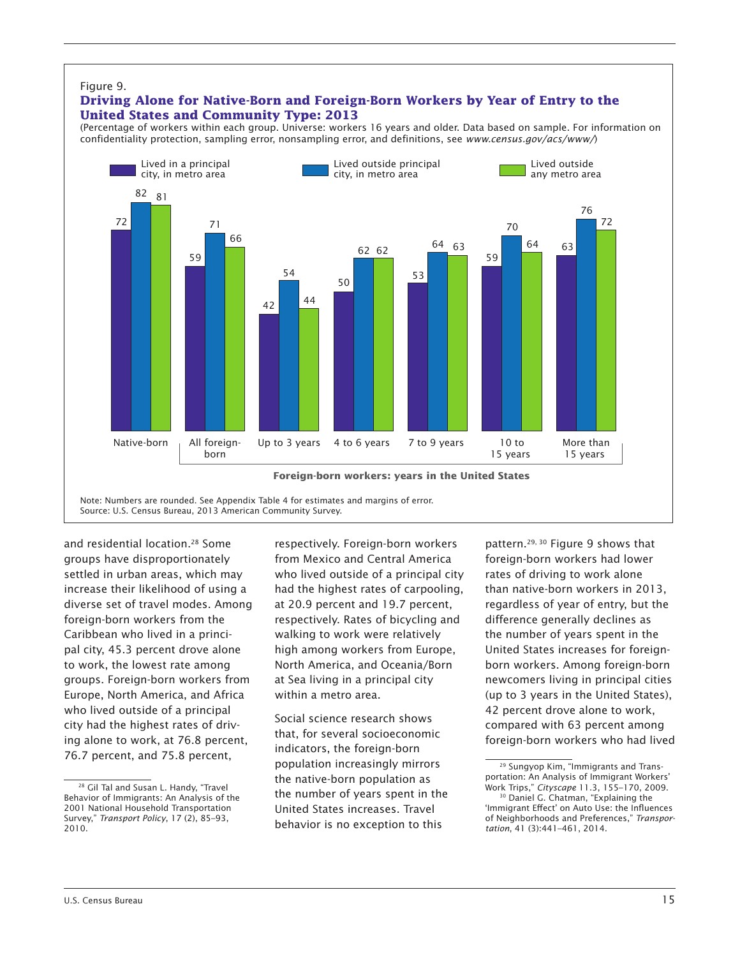

Note: Numbers are rounded. See Appendix Table 4 for estimates and margins of error. Source: U.S. Census Bureau, 2013 American Community Survey.

and residential location.<sup>28</sup> Some groups have disproportionately settled in urban areas, which may increase their likelihood of using a diverse set of travel modes. Among foreign-born workers from the Caribbean who lived in a principal city, 45.3 percent drove alone to work, the lowest rate among groups. Foreign-born workers from Europe, North America, and Africa who lived outside of a principal city had the highest rates of driving alone to work, at 76.8 percent, 76.7 percent, and 75.8 percent,

respectively. Foreign-born workers from Mexico and Central America who lived outside of a principal city had the highest rates of carpooling, at 20.9 percent and 19.7 percent, respectively. Rates of bicycling and walking to work were relatively high among workers from Europe, North America, and Oceania/Born at Sea living in a principal city within a metro area.

Social science research shows that, for several socioeconomic indicators, the foreign-born population increasingly mirrors the native-born population as the number of years spent in the United States increases. Travel behavior is no exception to this

pattern.<sup>29, 30</sup> Figure 9 shows that foreign-born workers had lower rates of driving to work alone than native-born workers in 2013, regardless of year of entry, but the difference generally declines as the number of years spent in the United States increases for foreignborn workers. Among foreign-born newcomers living in principal cities (up to 3 years in the United States), 42 percent drove alone to work, compared with 63 percent among foreign-born workers who had lived

<sup>28</sup> Gil Tal and Susan L. Handy, "Travel Behavior of Immigrants: An Analysis of the 2001 National Household Transportation Survey," *Transport Policy*, 17 (2), 85–93, 2010.

<sup>29</sup> Sungyop Kim, "Immigrants and Transportation: An Analysis of Immigrant Workers' Work Trips," *Cityscape* 11.3, 155–170, 2009.

<sup>30</sup> Daniel G. Chatman, "Explaining the 'Immigrant Effect' on Auto Use: the Influences of Neighborhoods and Preferences," *Transportation*, 41 (3):441–461, 2014.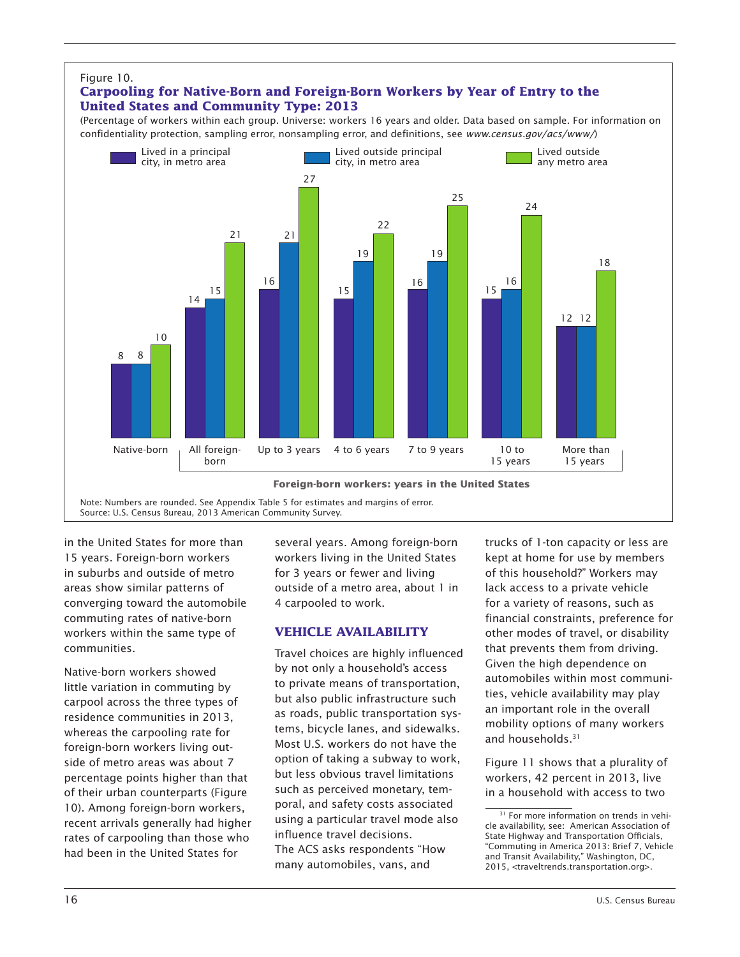

in the United States for more than 15 years. Foreign-born workers in suburbs and outside of metro areas show similar patterns of converging toward the automobile commuting rates of native-born workers within the same type of communities.

Native-born workers showed little variation in commuting by carpool across the three types of residence communities in 2013, whereas the carpooling rate for foreign-born workers living outside of metro areas was about 7 percentage points higher than that of their urban counterparts (Figure 10). Among foreign-born workers, recent arrivals generally had higher rates of carpooling than those who had been in the United States for

several years. Among foreign-born workers living in the United States for 3 years or fewer and living outside of a metro area, about 1 in 4 carpooled to work.

### **VEHICLE AVAILABILITY**

Travel choices are highly influenced by not only a household's access to private means of transportation, but also public infrastructure such as roads, public transportation systems, bicycle lanes, and sidewalks. Most U.S. workers do not have the option of taking a subway to work, but less obvious travel limitations such as perceived monetary, temporal, and safety costs associated using a particular travel mode also influence travel decisions. The ACS asks respondents "How many automobiles, vans, and

trucks of 1-ton capacity or less are kept at home for use by members of this household?" Workers may lack access to a private vehicle for a variety of reasons, such as financial constraints, preference for other modes of travel, or disability that prevents them from driving. Given the high dependence on automobiles within most communities, vehicle availability may play an important role in the overall mobility options of many workers and households.<sup>31</sup>

Figure 11 shows that a plurality of workers, 42 percent in 2013, live in a household with access to two

<sup>&</sup>lt;sup>31</sup> For more information on trends in vehicle availability, see: American Association of State Highway and Transportation Officials, "Commuting in America 2013: Brief 7, Vehicle and Transit Availability," Washington, DC, 2015, <traveltrends.transportation.org>.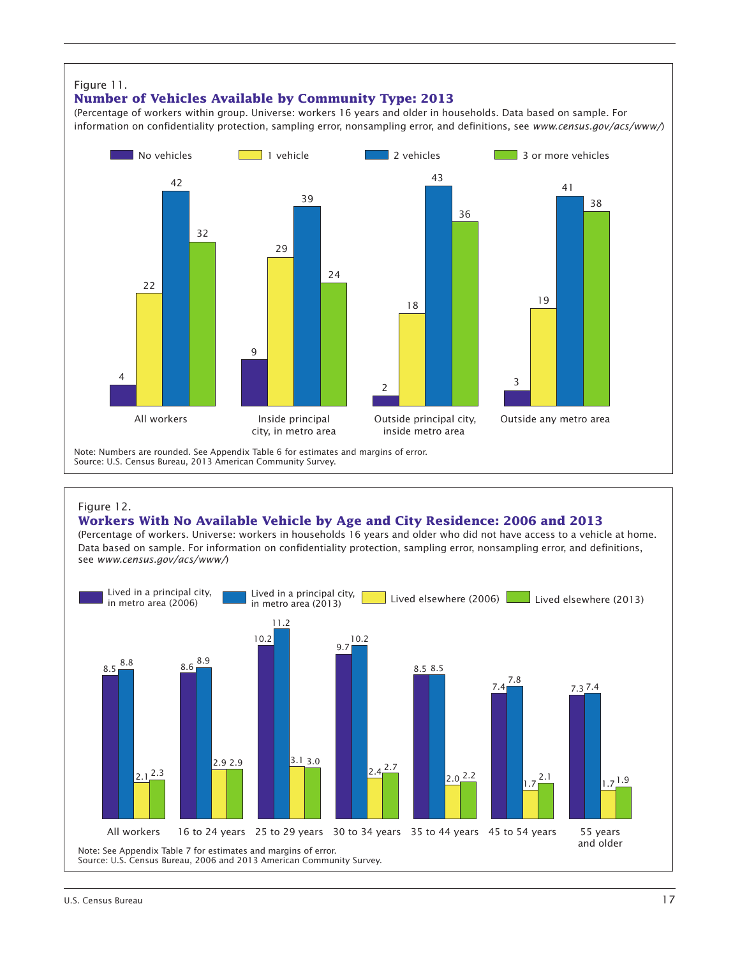#### Figure 11.

### **Number of Vehicles Available by Community Type: 2013**

(Percentage of workers within group. Universe: workers 16 years and older in households. Data based on sample. For information on confidentiality protection, sampling error, nonsampling error, and definitions, see *www.census.gov/acs/www/*)



#### Figure 12.

#### **Workers With No Available Vehicle by Age and City Residence: 2006 and 2013**

(Percentage of workers. Universe: workers in households 16 years and older who did not have access to a vehicle at home. Data based on sample. For information on confidentiality protection, sampling error, nonsampling error, and definitions, see *www.census.gov/acs/www/*)

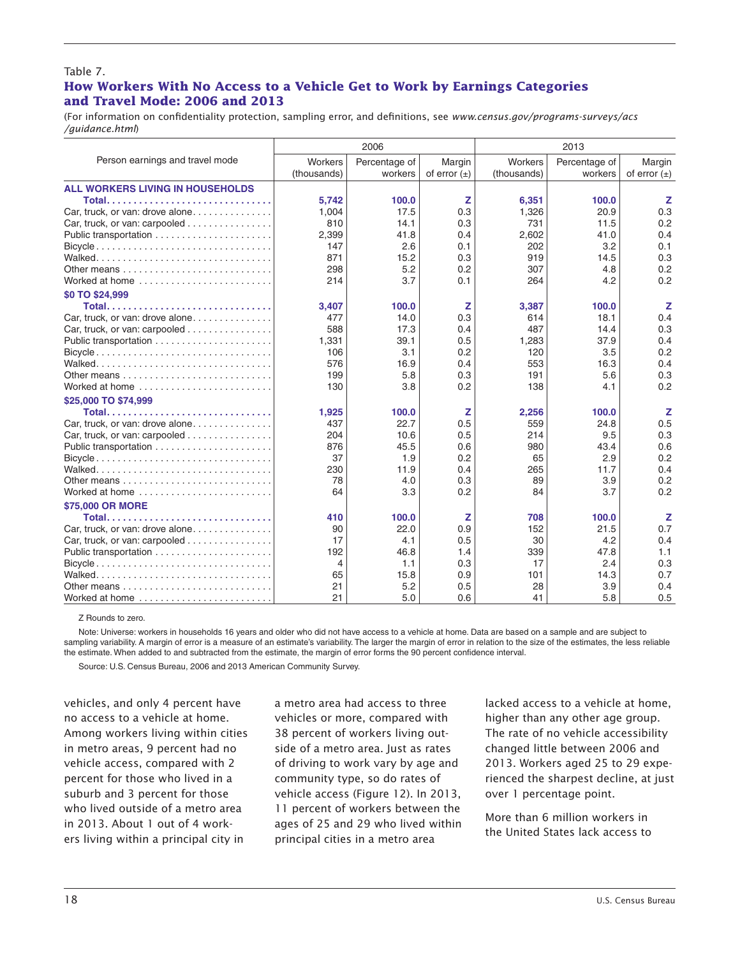#### Table 7. **How Workers With No Access to a Vehicle Get to Work by Earnings Categories and Travel Mode: 2006 and 2013**

(For information on confidentiality protection, sampling error, and definitions, see *www.census.gov/programs-surveys/acs /guidance.html*)

|                                                                                 |             | 2006          |                  |             | 2013          |                  |
|---------------------------------------------------------------------------------|-------------|---------------|------------------|-------------|---------------|------------------|
| Person earnings and travel mode                                                 | Workers     | Percentage of | Margin           | Workers     | Percentage of | Margin           |
|                                                                                 | (thousands) | workers       | of error $(\pm)$ | (thousands) | workers       | of error $(\pm)$ |
| <b>ALL WORKERS LIVING IN HOUSEHOLDS</b>                                         |             |               |                  |             |               |                  |
| Total                                                                           | 5,742       | 100.0         | z                | 6,351       | 100.0         | z                |
| Car, truck, or van: drove alone                                                 | 1,004       | 17.5          | 0.3              | 1,326       | 20.9          | 0.3              |
| Car, truck, or van: carpooled                                                   | 810         | 14.1          | 0.3              | 731         | 11.5          | 0.2              |
|                                                                                 | 2,399       | 41.8          | 0.4              | 2,602       | 41.0          | 0.4              |
| Bicycle                                                                         | 147         | 2.6           | 0.1              | 202         | 3.2           | 0.1              |
|                                                                                 | 871         | 15.2          | 0.3              | 919         | 14.5          | 0.3              |
| Other means $\ldots \ldots \ldots \ldots \ldots \ldots \ldots \ldots$           | 298         | 5.2           | 0.2              | 307         | 4.8           | 0.2              |
| Worked at home                                                                  | 214         | 3.7           | 0.1              | 264         | 4.2           | 0.2              |
| \$0 TO \$24,999                                                                 |             |               |                  |             |               |                  |
|                                                                                 | 3.407       | 100.0         | z                | 3,387       | 100.0         | z                |
| Car, truck, or van: drove alone                                                 | 477         | 14.0          | 0.3              | 614         | 18.1          | 0.4              |
| Car, truck, or van: carpooled                                                   | 588         | 17.3          | 0.4              | 487         | 14.4          | 0.3              |
|                                                                                 | 1,331       | 39.1          | 0.5              | 1,283       | 37.9          | 0.4              |
| $Bicycle \ldots \ldots \ldots \ldots \ldots \ldots \ldots \ldots \ldots \ldots$ | 106         | 3.1           | 0.2              | 120         | 3.5           | 0.2              |
|                                                                                 | 576         | 16.9          | 0.4              | 553         | 16.3          | 0.4              |
|                                                                                 | 199         | 5.8           | 0.3              | 191         | 5.6           | 0.3              |
| Worked at home                                                                  | 130         | 3.8           | 0.2              | 138         | 4.1           | 0.2              |
| \$25,000 TO \$74,999                                                            |             |               |                  |             |               |                  |
| Total                                                                           | 1,925       | 100.0         | z                | 2,256       | 100.0         | z                |
| Car, truck, or van: drove alone                                                 | 437         | 22.7          | 0.5              | 559         | 24.8          | 0.5              |
| Car, truck, or van: carpooled                                                   | 204         | 10.6          | 0.5              | 214         | 9.5           | 0.3              |
|                                                                                 | 876         | 45.5          | 0.6              | 980         | 43.4          | 0.6              |
| Bicycle                                                                         | 37          | 1.9           | 0.2              | 65          | 2.9           | 0.2              |
|                                                                                 | 230         | 11.9          | 0.4              | 265         | 11.7          | 0.4              |
|                                                                                 | 78          | 4.0           | 0.3              | 89          | 3.9           | 0.2              |
| Worked at home                                                                  | 64          | 3.3           | 0.2              | 84          | 3.7           | 0.2              |
| \$75,000 OR MORE                                                                |             |               |                  |             |               |                  |
|                                                                                 | 410         | 100.0         | z                | 708         | 100.0         | z                |
| Car, truck, or van: drove alone                                                 | 90          | 22.0          | 0.9              | 152         | 21.5          | 0.7              |
| Car, truck, or van: carpooled                                                   | 17          | 4.1           | 0.5              | 30          | 4.2           | 0.4              |
|                                                                                 | 192         | 46.8          | 1.4              | 339         | 47.8          | 1.1              |
| $Bicycle.$                                                                      | 4           | 1.1           | 0.3              | 17          | 2.4           | 0.3              |
|                                                                                 | 65          | 15.8          | 0.9              | 101         | 14.3          | 0.7              |
|                                                                                 | 21          | 5.2           | 0.5              | 28          | 3.9           | 0.4              |
| Worked at home                                                                  | 21          | 5.0           | 0.6              | 41          | 5.8           | 0.5              |

Z Rounds to zero.

Note: Universe: workers in households 16 years and older who did not have access to a vehicle at home. Data are based on a sample and are subject to sampling variability. A margin of error is a measure of an estimate's variability. The larger the margin of error in relation to the size of the estimates, the less reliable the estimate. When added to and subtracted from the estimate, the margin of error forms the 90 percent confidence interval.

Source: U.S. Census Bureau, 2006 and 2013 American Community Survey.

vehicles, and only 4 percent have no access to a vehicle at home. Among workers living within cities in metro areas, 9 percent had no vehicle access, compared with 2 percent for those who lived in a suburb and 3 percent for those who lived outside of a metro area in 2013. About 1 out of 4 workers living within a principal city in

a metro area had access to three vehicles or more, compared with 38 percent of workers living outside of a metro area. Just as rates of driving to work vary by age and community type, so do rates of vehicle access (Figure 12). In 2013, 11 percent of workers between the ages of 25 and 29 who lived within principal cities in a metro area

lacked access to a vehicle at home, higher than any other age group. The rate of no vehicle accessibility changed little between 2006 and 2013. Workers aged 25 to 29 experienced the sharpest decline, at just over 1 percentage point.

More than 6 million workers in the United States lack access to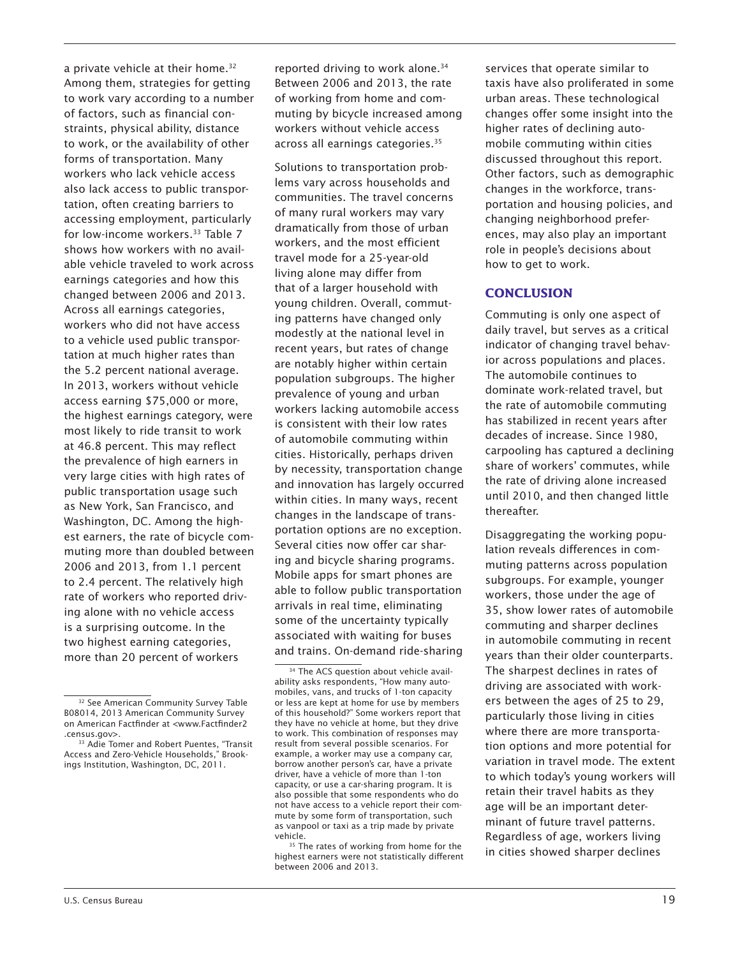a private vehicle at their home.<sup>32</sup> Among them, strategies for getting to work vary according to a number of factors, such as financial constraints, physical ability, distance to work, or the availability of other forms of transportation. Many workers who lack vehicle access also lack access to public transportation, often creating barriers to accessing employment, particularly for low-income workers.<sup>33</sup> Table 7 shows how workers with no available vehicle traveled to work across earnings categories and how this changed between 2006 and 2013. Across all earnings categories, workers who did not have access to a vehicle used public transportation at much higher rates than the 5.2 percent national average. In 2013, workers without vehicle access earning \$75,000 or more, the highest earnings category, were most likely to ride transit to work at 46.8 percent. This may reflect the prevalence of high earners in very large cities with high rates of public transportation usage such as New York, San Francisco, and Washington, DC. Among the highest earners, the rate of bicycle commuting more than doubled between 2006 and 2013, from 1.1 percent to 2.4 percent. The relatively high rate of workers who reported driving alone with no vehicle access is a surprising outcome. In the two highest earning categories, more than 20 percent of workers

reported driving to work alone.<sup>34</sup> Between 2006 and 2013, the rate of working from home and commuting by bicycle increased among workers without vehicle access across all earnings categories.35

Solutions to transportation problems vary across households and communities. The travel concerns of many rural workers may vary dramatically from those of urban workers, and the most efficient travel mode for a 25-year-old living alone may differ from that of a larger household with young children. Overall, commuting patterns have changed only modestly at the national level in recent years, but rates of change are notably higher within certain population subgroups. The higher prevalence of young and urban workers lacking automobile access is consistent with their low rates of automobile commuting within cities. Historically, perhaps driven by necessity, transportation change and innovation has largely occurred within cities. In many ways, recent changes in the landscape of transportation options are no exception. Several cities now offer car sharing and bicycle sharing programs. Mobile apps for smart phones are able to follow public transportation arrivals in real time, eliminating some of the uncertainty typically associated with waiting for buses and trains. On-demand ride-sharing

services that operate similar to taxis have also proliferated in some urban areas. These technological changes offer some insight into the higher rates of declining automobile commuting within cities discussed throughout this report. Other factors, such as demographic changes in the workforce, transportation and housing policies, and changing neighborhood preferences, may also play an important role in people's decisions about how to get to work.

### **CONCLUSION**

Commuting is only one aspect of daily travel, but serves as a critical indicator of changing travel behavior across populations and places. The automobile continues to dominate work-related travel, but the rate of automobile commuting has stabilized in recent years after decades of increase. Since 1980, carpooling has captured a declining share of workers' commutes, while the rate of driving alone increased until 2010, and then changed little thereafter.

Disaggregating the working population reveals differences in commuting patterns across population subgroups. For example, younger workers, those under the age of 35, show lower rates of automobile commuting and sharper declines in automobile commuting in recent years than their older counterparts. The sharpest declines in rates of driving are associated with workers between the ages of 25 to 29, particularly those living in cities where there are more transportation options and more potential for variation in travel mode. The extent to which today's young workers will retain their travel habits as they age will be an important determinant of future travel patterns. Regardless of age, workers living in cities showed sharper declines

<sup>&</sup>lt;sup>32</sup> See American Community Survey Table B08014, 2013 American Community Survey on American Factfinder at <www.Factfinder2 .census.gov>.

<sup>&</sup>lt;sup>33</sup> Adie Tomer and Robert Puentes, "Transit Access and Zero-Vehicle Households," Brookings Institution, Washington, DC, 2011.

<sup>&</sup>lt;sup>34</sup> The ACS question about vehicle availability asks respondents, "How many automobiles, vans, and trucks of 1-ton capacity or less are kept at home for use by members of this household?" Some workers report that they have no vehicle at home, but they drive to work. This combination of responses may result from several possible scenarios. For example, a worker may use a company car, borrow another person's car, have a private driver, have a vehicle of more than 1-ton capacity, or use a car-sharing program. It is also possible that some respondents who do not have access to a vehicle report their commute by some form of transportation, such as vanpool or taxi as a trip made by private vehicle.

<sup>&</sup>lt;sup>35</sup> The rates of working from home for the highest earners were not statistically different between 2006 and 2013.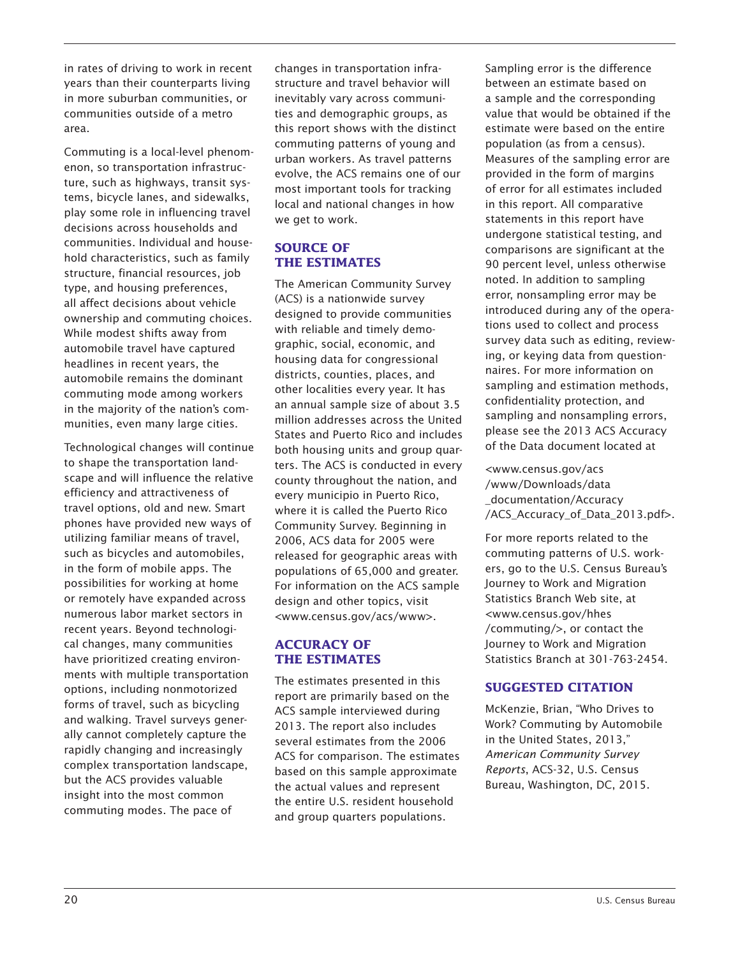in rates of driving to work in recent years than their counterparts living in more suburban communities, or communities outside of a metro area.

Commuting is a local-level phenomenon, so transportation infrastructure, such as highways, transit systems, bicycle lanes, and sidewalks, play some role in influencing travel decisions across households and communities. Individual and household characteristics, such as family structure, financial resources, job type, and housing preferences, all affect decisions about vehicle ownership and commuting choices. While modest shifts away from automobile travel have captured headlines in recent years, the automobile remains the dominant commuting mode among workers in the majority of the nation's communities, even many large cities.

Technological changes will continue to shape the transportation landscape and will influence the relative efficiency and attractiveness of travel options, old and new. Smart phones have provided new ways of utilizing familiar means of travel, such as bicycles and automobiles, in the form of mobile apps. The possibilities for working at home or remotely have expanded across numerous labor market sectors in recent years. Beyond technological changes, many communities have prioritized creating environments with multiple transportation options, including nonmotorized forms of travel, such as bicycling and walking. Travel surveys generally cannot completely capture the rapidly changing and increasingly complex transportation landscape, but the ACS provides valuable insight into the most common commuting modes. The pace of

changes in transportation infrastructure and travel behavior will inevitably vary across communities and demographic groups, as this report shows with the distinct commuting patterns of young and urban workers. As travel patterns evolve, the ACS remains one of our most important tools for tracking local and national changes in how we get to work.

# **SOURCE OF THE ESTIMATES**

The American Community Survey (ACS) is a nationwide survey designed to provide communities with reliable and timely demographic, social, economic, and housing data for congressional districts, counties, places, and other localities every year. It has an annual sample size of about 3.5 million addresses across the United States and Puerto Rico and includes both housing units and group quarters. The ACS is conducted in every county throughout the nation, and every municipio in Puerto Rico, where it is called the Puerto Rico Community Survey. Beginning in 2006, ACS data for 2005 were released for geographic areas with populations of 65,000 and greater. For information on the ACS sample design and other topics, visit <www.census.gov/acs/www>.

## **ACCURACY OF THE ESTIMATES**

The estimates presented in this report are primarily based on the ACS sample interviewed during 2013. The report also includes several estimates from the 2006 ACS for comparison. The estimates based on this sample approximate the actual values and represent the entire U.S. resident household and group quarters populations.

Sampling error is the difference between an estimate based on a sample and the corresponding value that would be obtained if the estimate were based on the entire population (as from a census). Measures of the sampling error are provided in the form of margins of error for all estimates included in this report. All comparative statements in this report have undergone statistical testing, and comparisons are significant at the 90 percent level, unless otherwise noted. In addition to sampling error, nonsampling error may be introduced during any of the operations used to collect and process survey data such as editing, reviewing, or keying data from questionnaires. For more information on sampling and estimation methods, confidentiality protection, and sampling and nonsampling errors, please see the 2013 ACS Accuracy of the Data document located at

<www.census.gov/acs /www/Downloads/data \_documentation/Accuracy /ACS\_Accuracy\_of\_Data\_2013.pdf>.

For more reports related to the commuting patterns of U.S. workers, go to the U.S. Census Bureau's Journey to Work and Migration Statistics Branch Web site, at <www.census.gov/hhes /commuting/>, or contact the Journey to Work and Migration Statistics Branch at 301-763-2454.

# **SUGGESTED CITATION**

McKenzie, Brian, "Who Drives to Work? Commuting by Automobile in the United States, 2013," *American Community Survey Reports*, ACS-32, U.S. Census Bureau, Washington, DC, 2015.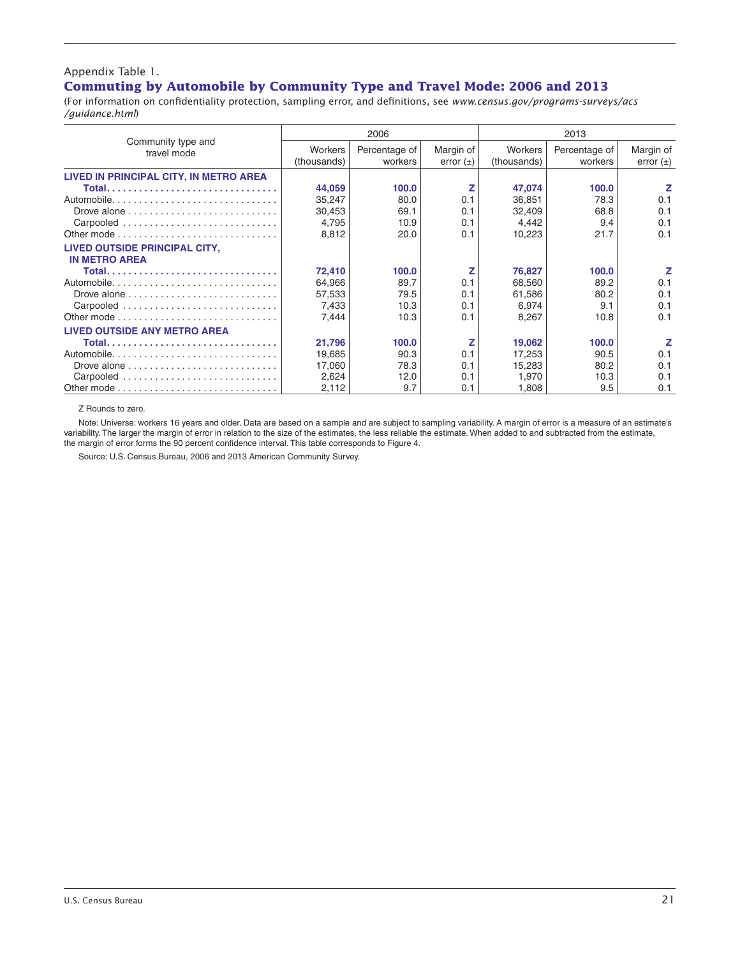#### Appendix Table 1. **Commuting by Automobile by Community Type and Travel Mode: 2006 and 2013**

(For information on confidentiality protection, sampling error, and definitions, see *www.census.gov/programs-surveys/acs /guidance.html*)

|                                                                       |                | 2006          |               |             | 2013          |               |
|-----------------------------------------------------------------------|----------------|---------------|---------------|-------------|---------------|---------------|
| Community type and<br>travel mode                                     | <b>Workers</b> | Percentage of | Margin of     | Workers     | Percentage of | Margin of     |
|                                                                       | (thousands)    | workers       | error $(\pm)$ | (thousands) | workers       | error $(\pm)$ |
| LIVED IN PRINCIPAL CITY, IN METRO AREA                                |                |               |               |             |               |               |
|                                                                       | 44,059         | 100.0         |               | 47,074      | 100.0         | z             |
|                                                                       | 35,247         | 80.0          | 0.1           | 36,851      | 78.3          | 0.1           |
| Drove alone $\dots\dots\dots\dots\dots\dots\dots\dots\dots\dots\dots$ | 30.453         | 69.1          | 0.1           | 32,409      | 68.8          | 0.1           |
| Carpooled                                                             | 4.795          | 10.9          | 0.1           | 4,442       | 9.4           | 0.1           |
|                                                                       | 8,812          | 20.0          | 0.1           | 10,223      | 21.7          | 0.1           |
| LIVED OUTSIDE PRINCIPAL CITY,<br><b>IN METRO AREA</b>                 |                |               |               |             |               |               |
|                                                                       | 72,410         | 100.0         | z             | 76,827      | 100.0         | z             |
|                                                                       | 64,966         | 89.7          | 0.1           | 68,560      | 89.2          | 0.1           |
|                                                                       | 57,533         | 79.5          | 0.1           | 61,586      | 80.2          | 0.1           |
| Carpooled                                                             | 7,433          | 10.3          | 0.1           | 6,974       | 9.1           | 0.1           |
|                                                                       | 7.444          | 10.3          | 0.1           | 8,267       | 10.8          | 0.1           |
| <b>LIVED OUTSIDE ANY METRO AREA</b>                                   |                |               |               |             |               |               |
|                                                                       | 21,796         | 100.0         | z             | 19,062      | 100.0         | z             |
|                                                                       | 19,685         | 90.3          | 0.1           | 17,253      | 90.5          | 0.1           |
| Drove alone $\ldots \ldots \ldots \ldots \ldots \ldots \ldots \ldots$ | 17,060         | 78.3          | 0.1           | 15,283      | 80.2          | 0.1           |
| Carpooled                                                             | 2,624          | 12.0          | 0.1           | 1,970       | 10.3          | 0.1           |
|                                                                       | 2,112          | 9.7           | 0.1           | 1.808       | 9.5           | 0.1           |

Z Rounds to zero.

Note: Universe: workers 16 years and older. Data are based on a sample and are subject to sampling variability. A margin of error is a measure of an estimate's variability. The larger the margin of error in relation to the size of the estimates, the less reliable the estimate. When added to and subtracted from the estimate, the margin of error forms the 90 percent confidence interval. This table corresponds to Figure 4.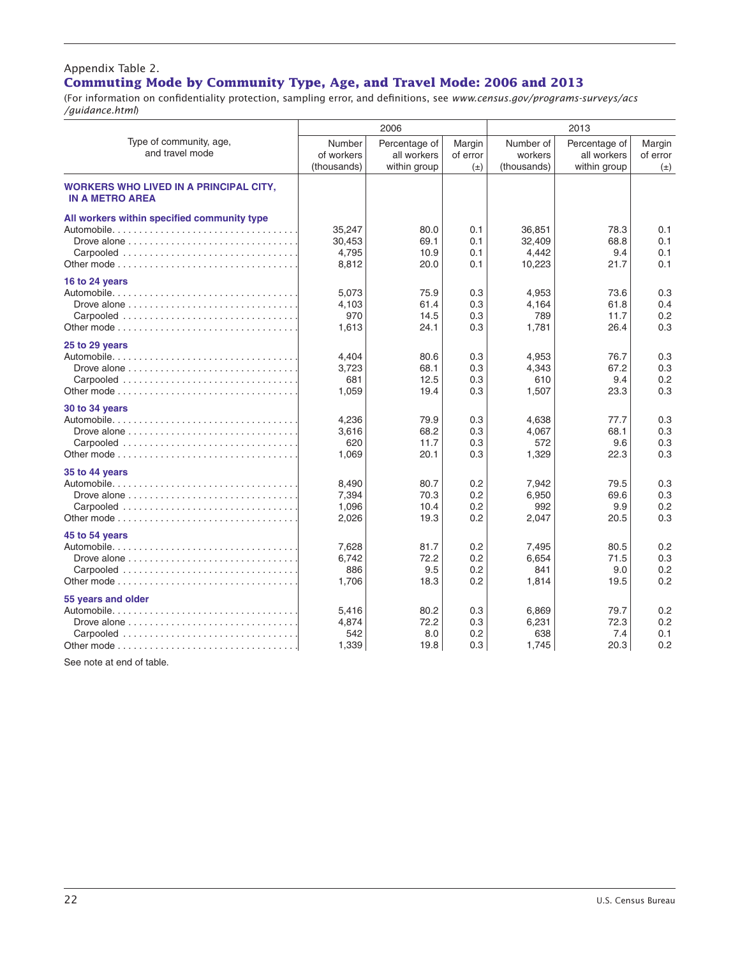### Appendix Table 2. **Commuting Mode by Community Type, Age, and Travel Mode: 2006 and 2013**—Con.

(For information on confidentiality protection, sampling error, and definitions, see *www.census.gov/programs-surveys/acs /guidance.html*)

|                                                                                                                 |                                     | 2006                                         |                               |                                     | 2013                                         |                               |
|-----------------------------------------------------------------------------------------------------------------|-------------------------------------|----------------------------------------------|-------------------------------|-------------------------------------|----------------------------------------------|-------------------------------|
| Type of community, age,<br>and travel mode                                                                      | Number<br>of workers<br>(thousands) | Percentage of<br>all workers<br>within group | Margin<br>of error<br>$(\pm)$ | Number of<br>workers<br>(thousands) | Percentage of<br>all workers<br>within group | Margin<br>of error<br>$(\pm)$ |
| <b>WORKERS WHO LIVED IN A PRINCIPAL CITY,</b><br><b>IN A METRO AREA</b>                                         |                                     |                                              |                               |                                     |                                              |                               |
| All workers within specified community type<br>Carpooled                                                        | 35.247<br>30,453<br>4.795<br>8,812  | 80.0<br>69.1<br>10.9<br>20.0                 | 0.1<br>0.1<br>0.1<br>0.1      | 36,851<br>32,409<br>4.442<br>10,223 | 78.3<br>68.8<br>9.4<br>21.7                  | 0.1<br>0.1<br>0.1<br>0.1      |
| 16 to 24 years<br>Carpooled                                                                                     | 5,073<br>4,103<br>970<br>1,613      | 75.9<br>61.4<br>14.5<br>24.1                 | 0.3<br>0.3<br>0.3<br>0.3      | 4,953<br>4,164<br>789<br>1,781      | 73.6<br>61.8<br>11.7<br>26.4                 | 0.3<br>0.4<br>0.2<br>0.3      |
| 25 to 29 years<br>Carpooled                                                                                     | 4,404<br>3,723<br>681<br>1,059      | 80.6<br>68.1<br>12.5<br>19.4                 | 0.3<br>0.3<br>0.3<br>0.3      | 4,953<br>4,343<br>610<br>1,507      | 76.7<br>67.2<br>9.4<br>23.3                  | 0.3<br>0.3<br>0.2<br>0.3      |
| 30 to 34 years<br>Carpooled                                                                                     | 4,236<br>3,616<br>620<br>1.069      | 79.9<br>68.2<br>11.7<br>20.1                 | 0.3<br>0.3<br>0.3<br>0.3      | 4,638<br>4,067<br>572<br>1,329      | 77.7<br>68.1<br>9.6<br>22.3                  | 0.3<br>0.3<br>0.3<br>0.3      |
| 35 to 44 years<br>Carpooled                                                                                     | 8,490<br>7,394<br>1,096<br>2,026    | 80.7<br>70.3<br>10.4<br>19.3                 | 0.2<br>0.2<br>0.2<br>0.2      | 7,942<br>6,950<br>992<br>2,047      | 79.5<br>69.6<br>9.9<br>20.5                  | 0.3<br>0.3<br>0.2<br>0.3      |
| 45 to 54 years<br>Drove alone $\ldots \ldots \ldots \ldots \ldots \ldots \ldots \ldots \ldots$<br>Carpooled     | 7,628<br>6,742<br>886<br>1,706      | 81.7<br>72.2<br>9.5<br>18.3                  | 0.2<br>0.2<br>0.2<br>0.2      | 7,495<br>6,654<br>841<br>1,814      | 80.5<br>71.5<br>9.0<br>19.5                  | 0.2<br>0.3<br>0.2<br>0.2      |
| 55 years and older<br>Drove alone $\ldots \ldots \ldots \ldots \ldots \ldots \ldots \ldots \ldots$<br>Carpooled | 5,416<br>4,874<br>542<br>1,339      | 80.2<br>72.2<br>8.0<br>19.8                  | 0.3<br>0.3<br>0.2<br>0.3      | 6,869<br>6,231<br>638<br>1,745      | 79.7<br>72.3<br>7.4<br>20.3                  | 0.2<br>0.2<br>0.1<br>0.2      |

See note at end of table.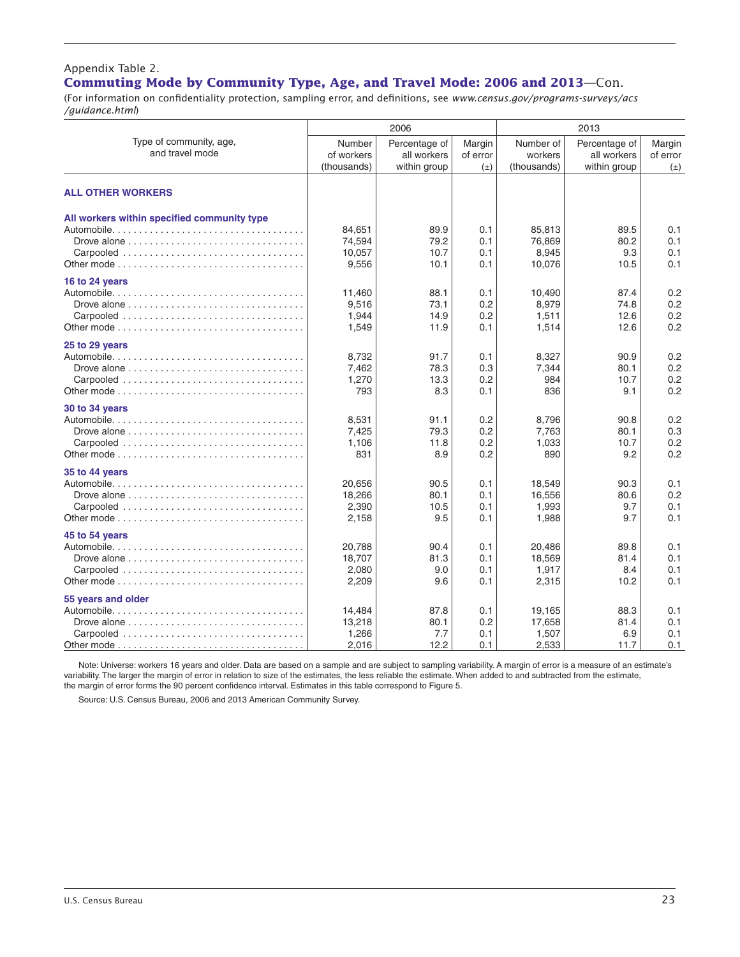#### Appendix Table 2. **Commuting Mode by Community Type, Age, and Travel Mode: 2006 and 2013**—Con.

(For information on confidentiality protection, sampling error, and definitions, see *www.census.gov/programs-surveys/acs /guidance.html*)

|                                                                                                                             |                                     | 2006                                         |                               |                                     | 2013                                         |                               |
|-----------------------------------------------------------------------------------------------------------------------------|-------------------------------------|----------------------------------------------|-------------------------------|-------------------------------------|----------------------------------------------|-------------------------------|
| Type of community, age,<br>and travel mode                                                                                  | Number<br>of workers<br>(thousands) | Percentage of<br>all workers<br>within group | Margin<br>of error<br>$(\pm)$ | Number of<br>workers<br>(thousands) | Percentage of<br>all workers<br>within group | Margin<br>of error<br>$(\pm)$ |
| <b>ALL OTHER WORKERS</b>                                                                                                    |                                     |                                              |                               |                                     |                                              |                               |
| All workers within specified community type<br>Drove alone $\ldots \ldots \ldots \ldots \ldots \ldots \ldots \ldots \ldots$ | 84,651<br>74,594<br>10,057<br>9,556 | 89.9<br>79.2<br>10.7<br>10.1                 | 0.1<br>0.1<br>0.1<br>0.1      | 85,813<br>76.869<br>8,945<br>10,076 | 89.5<br>80.2<br>9.3<br>10.5                  | 0.1<br>0.1<br>0.1<br>0.1      |
| 16 to 24 years<br>Drove alone $\ldots, \ldots, \ldots, \ldots, \ldots, \ldots, \ldots, \ldots, \ldots$<br>Carpooled         | 11,460<br>9,516<br>1,944<br>1,549   | 88.1<br>73.1<br>14.9<br>11.9                 | 0.1<br>0.2<br>0.2<br>0.1      | 10,490<br>8,979<br>1,511<br>1,514   | 87.4<br>74.8<br>12.6<br>12.6                 | 0.2<br>0.2<br>0.2<br>0.2      |
| 25 to 29 years<br>Carpooled                                                                                                 | 8.732<br>7,462<br>1,270<br>793      | 91.7<br>78.3<br>13.3<br>8.3                  | 0.1<br>0.3<br>0.2<br>0.1      | 8,327<br>7,344<br>984<br>836        | 90.9<br>80.1<br>10.7<br>9.1                  | 0.2<br>0.2<br>0.2<br>0.2      |
| 30 to 34 years                                                                                                              | 8,531<br>7,425<br>1.106<br>831      | 91.1<br>79.3<br>11.8<br>8.9                  | 0.2<br>0.2<br>0.2<br>0.2      | 8,796<br>7,763<br>1.033<br>890      | 90.8<br>80.1<br>10.7<br>9.2                  | 0.2<br>0.3<br>0.2<br>0.2      |
| 35 to 44 years                                                                                                              | 20,656<br>18,266<br>2,390<br>2,158  | 90.5<br>80.1<br>10.5<br>9.5                  | 0.1<br>0.1<br>0.1<br>0.1      | 18,549<br>16,556<br>1,993<br>1,988  | 90.3<br>80.6<br>9.7<br>9.7                   | 0.1<br>0.2<br>0.1<br>0.1      |
| 45 to 54 years<br>Drove alone $\ldots \ldots \ldots \ldots \ldots \ldots \ldots \ldots \ldots$<br>Carpooled                 | 20,788<br>18,707<br>2,080<br>2,209  | 90.4<br>81.3<br>9.0<br>9.6                   | 0.1<br>0.1<br>0.1<br>0.1      | 20,486<br>18,569<br>1,917<br>2,315  | 89.8<br>81.4<br>8.4<br>10.2                  | 0.1<br>0.1<br>0.1<br>0.1      |
| 55 years and older<br>Carpooled                                                                                             | 14,484<br>13,218<br>1,266<br>2,016  | 87.8<br>80.1<br>7.7<br>12.2                  | 0.1<br>0.2<br>0.1<br>0.1      | 19,165<br>17.658<br>1,507<br>2,533  | 88.3<br>81.4<br>6.9<br>11.7                  | 0.1<br>0.1<br>0.1<br>0.1      |

Note: Universe: workers 16 years and older. Data are based on a sample and are subject to sampling variability. A margin of error is a measure of an estimate's variability. The larger the margin of error in relation to size of the estimates, the less reliable the estimate. When added to and subtracted from the estimate, the margin of error forms the 90 percent confidence interval. Estimates in this table correspond to Figure 5.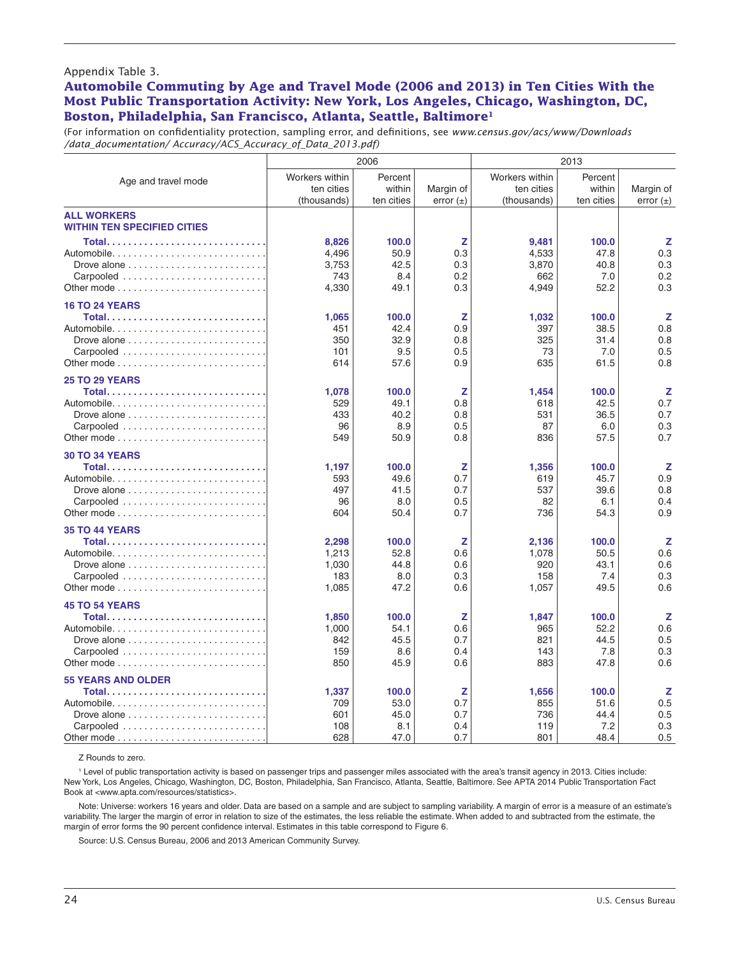#### Appendix Table 3.

#### **Automobile Commuting by Age and Travel Mode (2006 and 2013) in Ten Cities With the Most Public Transportation Activity: New York, Los Angeles, Chicago, Washington, DC, Boston, Philadelphia, San Francisco, Atlanta, Seattle, Baltimore1**

(For information on confidentiality protection, sampling error, and definitions, see *www.census.gov/acs/www/Downloads /data\_documentation/ Accuracy/ACS\_Accuracy\_of\_Data\_2013.pdf)*

|                                                                                                                        |                                             | 2006                                 |                               |                                             | 2013                                 |                               |
|------------------------------------------------------------------------------------------------------------------------|---------------------------------------------|--------------------------------------|-------------------------------|---------------------------------------------|--------------------------------------|-------------------------------|
| Age and travel mode                                                                                                    | Workers within<br>ten cities<br>(thousands) | Percent<br>within<br>ten cities      | Margin of<br>error $(\pm)$    | Workers within<br>ten cities<br>(thousands) | Percent<br>within<br>ten cities      | Margin of<br>error $(\pm)$    |
| <b>ALL WORKERS</b><br><b>WITHIN TEN SPECIFIED CITIES</b>                                                               |                                             |                                      |                               |                                             |                                      |                               |
| Automobile<br>Drove alone $\ldots \ldots \ldots \ldots \ldots \ldots \ldots$<br>Carpooled                              | 8,826<br>4,496<br>3,753<br>743<br>4,330     | 100.0<br>50.9<br>42.5<br>8.4<br>49.1 | z<br>0.3<br>0.3<br>0.2<br>0.3 | 9,481<br>4,533<br>3,870<br>662<br>4,949     | 100.0<br>47.8<br>40.8<br>7.0<br>52.2 | z<br>0.3<br>0.3<br>0.2<br>0.3 |
| <b>16 TO 24 YEARS</b><br>Drove alone $\ldots \ldots \ldots \ldots \ldots \ldots \ldots$<br>Carpooled                   | 1,065<br>451<br>350<br>101<br>614           | 100.0<br>42.4<br>32.9<br>9.5<br>57.6 | Z<br>0.9<br>0.8<br>0.5<br>0.9 | 1,032<br>397<br>325<br>73<br>635            | 100.0<br>38.5<br>31.4<br>7.0<br>61.5 | z<br>0.8<br>0.8<br>0.5<br>0.8 |
| <b>25 TO 29 YEARS</b><br>Automobile<br>Carpooled                                                                       | 1.078<br>529<br>433<br>96<br>549            | 100.0<br>49.1<br>40.2<br>8.9<br>50.9 | z<br>0.8<br>0.8<br>0.5<br>0.8 | 1,454<br>618<br>531<br>87<br>836            | 100.0<br>42.5<br>36.5<br>6.0<br>57.5 | z<br>0.7<br>0.7<br>0.3<br>0.7 |
| <b>30 TO 34 YEARS</b><br>Automobile<br>Carpooled                                                                       | 1,197<br>593<br>497<br>96<br>604            | 100.0<br>49.6<br>41.5<br>8.0<br>50.4 | z<br>0.7<br>0.7<br>0.5<br>0.7 | 1,356<br>619<br>537<br>82<br>736            | 100.0<br>45.7<br>39.6<br>6.1<br>54.3 | z<br>0.9<br>0.8<br>0.4<br>0.9 |
| <b>35 TO 44 YEARS</b><br>Automobile<br>Carpooled                                                                       | 2,298<br>1,213<br>1,030<br>183<br>1,085     | 100.0<br>52.8<br>44.8<br>8.0<br>47.2 | Z<br>0.6<br>0.6<br>0.3<br>0.6 | 2,136<br>1,078<br>920<br>158<br>1,057       | 100.0<br>50.5<br>43.1<br>7.4<br>49.5 | z<br>0.6<br>0.6<br>0.3<br>0.6 |
| <b>45 TO 54 YEARS</b><br>Total                                                                                         | 1,850<br>1.000<br>842<br>159<br>850         | 100.0<br>54.1<br>45.5<br>8.6<br>45.9 | z<br>0.6<br>0.7<br>0.4<br>0.6 | 1,847<br>965<br>821<br>143<br>883           | 100.0<br>52.2<br>44.5<br>7.8<br>47.8 | z<br>0.6<br>0.5<br>0.3<br>0.6 |
| <b>55 YEARS AND OLDER</b><br>Automobile<br>Drove alone $\ldots \ldots \ldots \ldots \ldots \ldots \ldots$<br>Carpooled | 1,337<br>709<br>601<br>108<br>628           | 100.0<br>53.0<br>45.0<br>8.1<br>47.0 | z<br>0.7<br>0.7<br>0.4<br>0.7 | 1,656<br>855<br>736<br>119<br>801           | 100.0<br>51.6<br>44.4<br>7.2<br>48.4 | z<br>0.5<br>0.5<br>0.3<br>0.5 |

Z Rounds to zero.

1 Level of public transportation activity is based on passenger trips and passenger miles associated with the area's transit agency in 2013. Cities include: New York, Los Angeles, Chicago, Washington, DC, Boston, Philadelphia, San Francisco, Atlanta, Seattle, Baltimore. See APTA 2014 Public Transportation Fact Book at <www.apta.com/resources/statistics>.

Note: Universe: workers 16 years and older. Data are based on a sample and are subject to sampling variability. A margin of error is a measure of an estimate's variability. The larger the margin of error in relation to size of the estimates, the less reliable the estimate. When added to and subtracted from the estimate, the margin of error forms the 90 percent confidence interval. Estimates in this table correspond to Figure 6.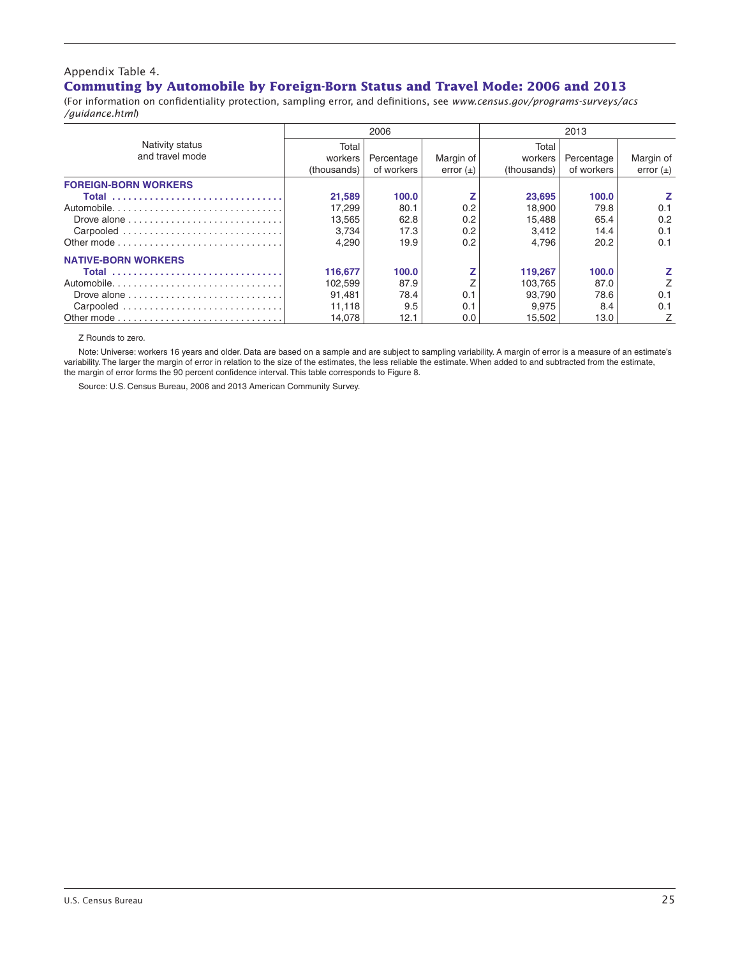#### Appendix Table 4. **Commuting by Automobile by Foreign-Born Status and Travel Mode: 2006 and 2013**

(For information on confidentiality protection, sampling error, and definitions, see *www.census.gov/programs-surveys/acs /guidance.html*)

|                             |             | 2006       |               |             | 2013       |               |
|-----------------------------|-------------|------------|---------------|-------------|------------|---------------|
| Nativity status             | Total       |            |               | Total       |            |               |
| and travel mode             | workers     | Percentage | Margin of     | workers     | Percentage | Margin of     |
|                             | (thousands) | of workers | error $(\pm)$ | (thousands) | of workers | error $(\pm)$ |
| <b>FOREIGN-BORN WORKERS</b> |             |            |               |             |            |               |
| Total                       | 21,589      | 100.0      |               | 23,695      | 100.0      |               |
| Automobile                  | 17.299      | 80.1       | 0.2           | 18,900      | 79.8       | 0.1           |
|                             | 13,565      | 62.8       | 0.2           | 15,488      | 65.4       | 0.2           |
|                             | 3.734       | 17.3       | 0.2           | 3.412       | 14.4       | 0.1           |
|                             | 4.290       | 19.9       | 0.2           | 4.796       | 20.2       | 0.1           |
| <b>NATIVE-BORN WORKERS</b>  |             |            |               |             |            |               |
| Total                       | 116,677     | 100.0      |               | 119,267     | 100.0      |               |
|                             | 102.599     | 87.9       |               | 103.765     | 87.0       |               |
|                             | 91.481      | 78.4       | 0.1           | 93.790      | 78.6       | 0.1           |
| Carpooled                   | 11,118      | 9.5        | 0.1           | 9,975       | 8.4        | 0.1           |
|                             | 14.078      | 12.1       | 0.0           | 15.502      | 13.0       | Z             |

Z Rounds to zero.

Note: Universe: workers 16 years and older. Data are based on a sample and are subject to sampling variability. A margin of error is a measure of an estimate's variability. The larger the margin of error in relation to the size of the estimates, the less reliable the estimate. When added to and subtracted from the estimate, the margin of error forms the 90 percent confidence interval. This table corresponds to Figure 8.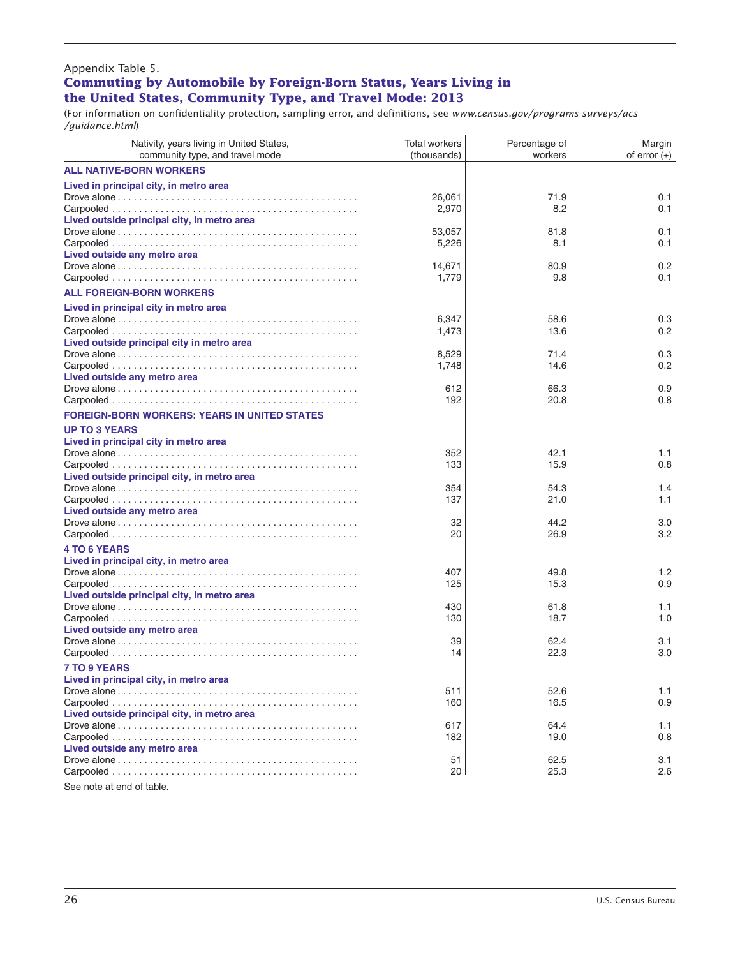#### Appendix Table 5. **Commuting by Automobile by Foreign-Born Status, Years Living in** the United States, Community Type, and Travel Mode: 2013

(For information on confidentiality protection, sampling error, and definitions, see *www.census.gov/programs-surveys/acs /guidance.html*)

| Nativity, years living in United States,<br>community type, and travel mode | <b>Total workers</b><br>(thousands) | Percentage of<br>workers | Margin<br>of error $(\pm)$ |
|-----------------------------------------------------------------------------|-------------------------------------|--------------------------|----------------------------|
| <b>ALL NATIVE-BORN WORKERS</b>                                              |                                     |                          |                            |
| Lived in principal city, in metro area                                      | 26,061<br>2,970                     | 71.9<br>8.2              | 0.1<br>0.1                 |
| Lived outside principal city, in metro area                                 | 53,057<br>5,226                     | 81.8<br>8.1              | 0.1<br>0.1                 |
| Lived outside any metro area                                                | 14,671<br>1,779                     | 80.9<br>9.8              | 0.2<br>0.1                 |
| <b>ALL FOREIGN-BORN WORKERS</b>                                             |                                     |                          |                            |
| Lived in principal city in metro area                                       | 6,347<br>1,473                      | 58.6<br>13.6             | 0.3<br>0.2                 |
| Lived outside principal city in metro area                                  | 8,529<br>1,748                      | 71.4<br>14.6             | 0.3<br>0.2                 |
| Lived outside any metro area                                                | 612<br>192                          | 66.3<br>20.8             | 0.9<br>0.8                 |
| <b>FOREIGN-BORN WORKERS: YEARS IN UNITED STATES</b>                         |                                     |                          |                            |
| <b>UP TO 3 YEARS</b><br>Lived in principal city in metro area               | 352<br>133                          | 42.1<br>15.9             | 1.1<br>0.8                 |
| Lived outside principal city, in metro area                                 | 354<br>137                          | 54.3<br>21.0             | 1.4<br>1.1                 |
| Lived outside any metro area                                                | 32<br>20                            | 44.2<br>26.9             | 3.0<br>3.2                 |
| <b>4 TO 6 YEARS</b><br>Lived in principal city, in metro area               | 407                                 | 49.8                     | 1.2                        |
| Lived outside principal city, in metro area                                 | 125<br>430                          | 15.3<br>61.8             | 0.9<br>1.1                 |
| Lived outside any metro area                                                | 130                                 | 18.7                     | 1.0                        |
|                                                                             | 39<br>14                            | 62.4<br>22.3             | 3.1<br>3.0                 |
| <b>7 TO 9 YEARS</b>                                                         |                                     |                          |                            |
| Lived in principal city, in metro area                                      | 511<br>160                          | 52.6<br>16.5             | 1.1<br>0.9                 |
| Lived outside principal city, in metro area                                 | 617<br>182                          | 64.4<br>19.0             | 1.1<br>0.8                 |
| Lived outside any metro area                                                | 51<br>20                            | 62.5<br>25.3             | 3.1<br>2.6                 |

See note at end of table.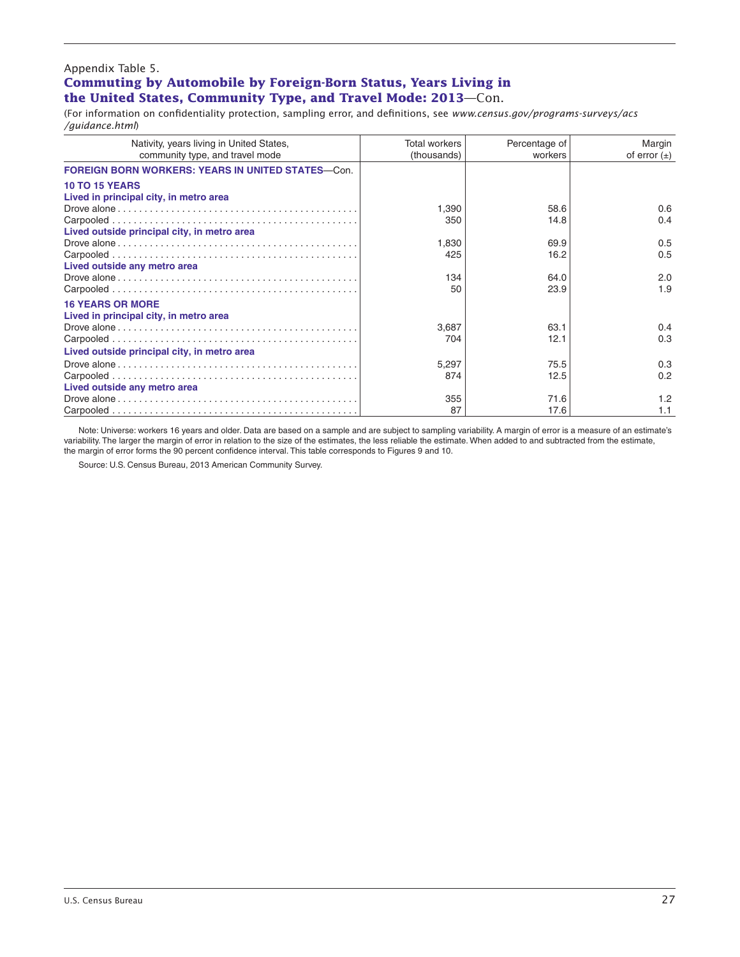#### Appendix Table 5. **Commuting by Automobile by Foreign-Born Status, Years Living in the United States, Community Type, and Travel Mode: 2013**—Con.

(For information on confidentiality protection, sampling error, and definitions, see *www.census.gov/programs-surveys/acs /guidance.html*)

| Nativity, years living in United States,                  | <b>Total workers</b> | Percentage of | Margin           |
|-----------------------------------------------------------|----------------------|---------------|------------------|
| community type, and travel mode                           | (thousands)          | workers       | of error $(\pm)$ |
| <b>FOREIGN BORN WORKERS: YEARS IN UNITED STATES--Con.</b> |                      |               |                  |
| <b>10 TO 15 YEARS</b>                                     |                      |               |                  |
| Lived in principal city, in metro area                    |                      |               |                  |
|                                                           | 1.390                | 58.6          | 0.6              |
|                                                           | 350                  | 14.8          | 0.4              |
| Lived outside principal city, in metro area               |                      |               |                  |
|                                                           | 1,830                | 69.9          | 0.5              |
|                                                           | 425                  | 16.2          | 0.5              |
| Lived outside any metro area                              |                      |               |                  |
|                                                           | 134                  | 64.0          | 2.0              |
|                                                           | 50                   | 23.9          | 1.9              |
| <b>16 YEARS OR MORE</b>                                   |                      |               |                  |
| Lived in principal city, in metro area                    |                      |               |                  |
|                                                           | 3,687                | 63.1          | 0.4              |
|                                                           | 704                  | 12.1          | 0.3              |
| Lived outside principal city, in metro area               |                      |               |                  |
|                                                           | 5,297                | 75.5          | 0.3              |
|                                                           | 874                  | 12.5          | 0.2              |
| Lived outside any metro area                              |                      |               |                  |
|                                                           | 355                  | 71.6          | 1.2              |
|                                                           | 87                   | 17.6          | 1.1              |

Note: Universe: workers 16 years and older. Data are based on a sample and are subject to sampling variability. A margin of error is a measure of an estimate's variability. The larger the margin of error in relation to the size of the estimates, the less reliable the estimate. When added to and subtracted from the estimate, the margin of error forms the 90 percent confidence interval. This table corresponds to Figures 9 and 10.